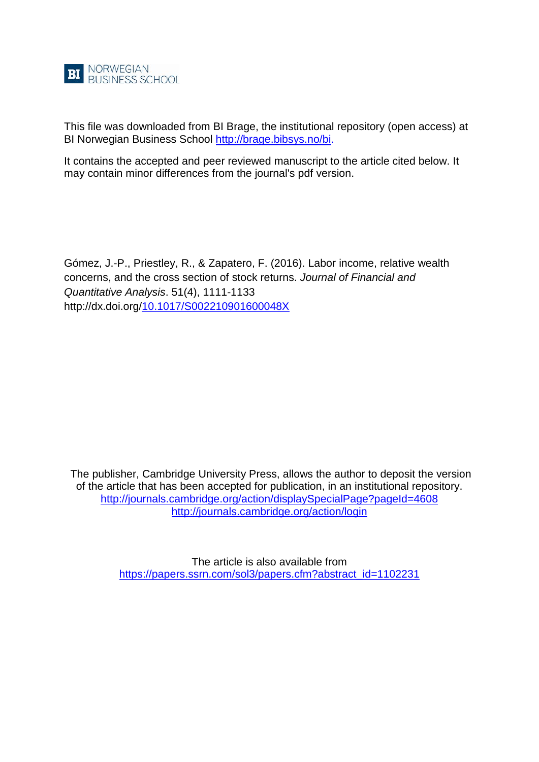

This file was downloaded from BI Brage, the institutional repository (open access) at BI Norwegian Business School [http://brage.bibsys.no/bi.](http://brage.bibsys.no/bi)

It contains the accepted and peer reviewed manuscript to the article cited below. It may contain minor differences from the journal's pdf version.

Gómez, J.-P., Priestley, R., & Zapatero, F. (2016). Labor income, relative wealth concerns, and the cross section of stock returns. *Journal of Financial and Quantitative Analysis*. 51(4), 1111-1133 http://dx.doi.org[/10.1017/S002210901600048X](https://doi.org/10.1017/S002210901600048X)

The publisher, Cambridge University Press, allows the author to deposit the version of the article that has been accepted for publication, in an institutional repository. <http://journals.cambridge.org/action/displaySpecialPage?pageId=4608> <http://journals.cambridge.org/action/login>

> The article is also available from [https://papers.ssrn.com/sol3/papers.cfm?abstract\\_id=1102231](https://papers.ssrn.com/sol3/papers.cfm?abstract_id=1102231)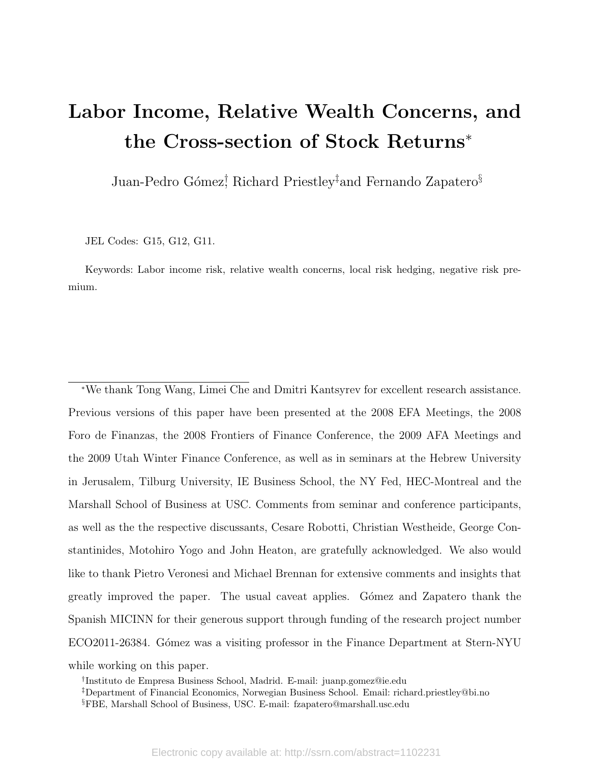# Labor Income, Relative Wealth Concerns, and the Cross-section of Stock Returns<sup>∗</sup>

Juan-Pedro Gómez<sup>†</sup> Richard Priestley<sup>‡</sup>and Fernando Zapatero<sup>§</sup>

JEL Codes: G15, G12, G11.

Keywords: Labor income risk, relative wealth concerns, local risk hedging, negative risk premium.

<sup>∗</sup>We thank Tong Wang, Limei Che and Dmitri Kantsyrev for excellent research assistance. Previous versions of this paper have been presented at the 2008 EFA Meetings, the 2008 Foro de Finanzas, the 2008 Frontiers of Finance Conference, the 2009 AFA Meetings and the 2009 Utah Winter Finance Conference, as well as in seminars at the Hebrew University in Jerusalem, Tilburg University, IE Business School, the NY Fed, HEC-Montreal and the Marshall School of Business at USC. Comments from seminar and conference participants, as well as the the respective discussants, Cesare Robotti, Christian Westheide, George Constantinides, Motohiro Yogo and John Heaton, are gratefully acknowledged. We also would like to thank Pietro Veronesi and Michael Brennan for extensive comments and insights that greatly improved the paper. The usual caveat applies. Gómez and Zapatero thank the Spanish MICINN for their generous support through funding of the research project number ECO2011-26384. Gómez was a visiting professor in the Finance Department at Stern-NYU while working on this paper.

<sup>†</sup> Instituto de Empresa Business School, Madrid. E-mail: juanp.gomez@ie.edu

<sup>‡</sup>Department of Financial Economics, Norwegian Business School. Email: richard.priestley@bi.no §FBE, Marshall School of Business, USC. E-mail: fzapatero@marshall.usc.edu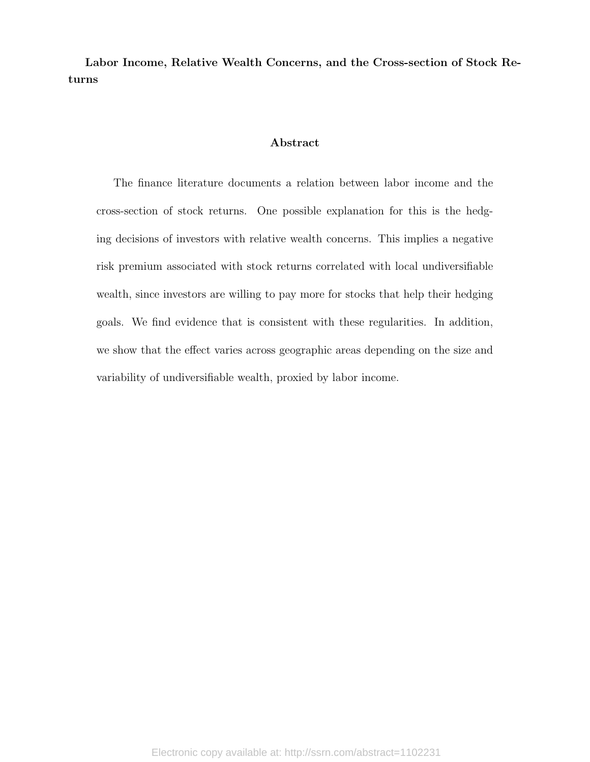Labor Income, Relative Wealth Concerns, and the Cross-section of Stock Returns

### Abstract

The finance literature documents a relation between labor income and the cross-section of stock returns. One possible explanation for this is the hedging decisions of investors with relative wealth concerns. This implies a negative risk premium associated with stock returns correlated with local undiversifiable wealth, since investors are willing to pay more for stocks that help their hedging goals. We find evidence that is consistent with these regularities. In addition, we show that the effect varies across geographic areas depending on the size and variability of undiversifiable wealth, proxied by labor income.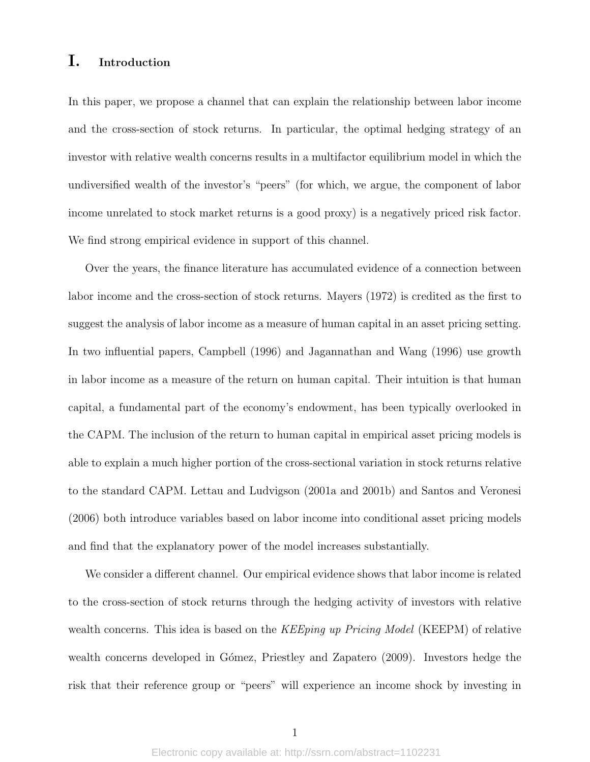# I. Introduction

In this paper, we propose a channel that can explain the relationship between labor income and the cross-section of stock returns. In particular, the optimal hedging strategy of an investor with relative wealth concerns results in a multifactor equilibrium model in which the undiversified wealth of the investor's "peers" (for which, we argue, the component of labor income unrelated to stock market returns is a good proxy) is a negatively priced risk factor. We find strong empirical evidence in support of this channel.

Over the years, the finance literature has accumulated evidence of a connection between labor income and the cross-section of stock returns. Mayers (1972) is credited as the first to suggest the analysis of labor income as a measure of human capital in an asset pricing setting. In two influential papers, Campbell (1996) and Jagannathan and Wang (1996) use growth in labor income as a measure of the return on human capital. Their intuition is that human capital, a fundamental part of the economy's endowment, has been typically overlooked in the CAPM. The inclusion of the return to human capital in empirical asset pricing models is able to explain a much higher portion of the cross-sectional variation in stock returns relative to the standard CAPM. Lettau and Ludvigson (2001a and 2001b) and Santos and Veronesi (2006) both introduce variables based on labor income into conditional asset pricing models and find that the explanatory power of the model increases substantially.

We consider a different channel. Our empirical evidence shows that labor income is related to the cross-section of stock returns through the hedging activity of investors with relative wealth concerns. This idea is based on the KEEping up Pricing Model (KEEPM) of relative wealth concerns developed in Gómez, Priestley and Zapatero (2009). Investors hedge the risk that their reference group or "peers" will experience an income shock by investing in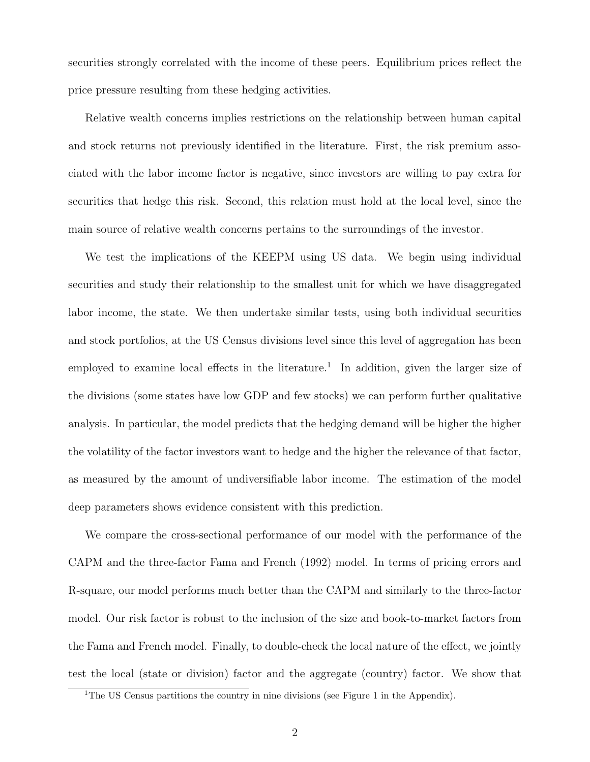securities strongly correlated with the income of these peers. Equilibrium prices reflect the price pressure resulting from these hedging activities.

Relative wealth concerns implies restrictions on the relationship between human capital and stock returns not previously identified in the literature. First, the risk premium associated with the labor income factor is negative, since investors are willing to pay extra for securities that hedge this risk. Second, this relation must hold at the local level, since the main source of relative wealth concerns pertains to the surroundings of the investor.

We test the implications of the KEEPM using US data. We begin using individual securities and study their relationship to the smallest unit for which we have disaggregated labor income, the state. We then undertake similar tests, using both individual securities and stock portfolios, at the US Census divisions level since this level of aggregation has been employed to examine local effects in the literature.<sup>1</sup> In addition, given the larger size of the divisions (some states have low GDP and few stocks) we can perform further qualitative analysis. In particular, the model predicts that the hedging demand will be higher the higher the volatility of the factor investors want to hedge and the higher the relevance of that factor, as measured by the amount of undiversifiable labor income. The estimation of the model deep parameters shows evidence consistent with this prediction.

We compare the cross-sectional performance of our model with the performance of the CAPM and the three-factor Fama and French (1992) model. In terms of pricing errors and R-square, our model performs much better than the CAPM and similarly to the three-factor model. Our risk factor is robust to the inclusion of the size and book-to-market factors from the Fama and French model. Finally, to double-check the local nature of the effect, we jointly test the local (state or division) factor and the aggregate (country) factor. We show that

<sup>&</sup>lt;sup>1</sup>The US Census partitions the country in nine divisions (see Figure 1 in the Appendix).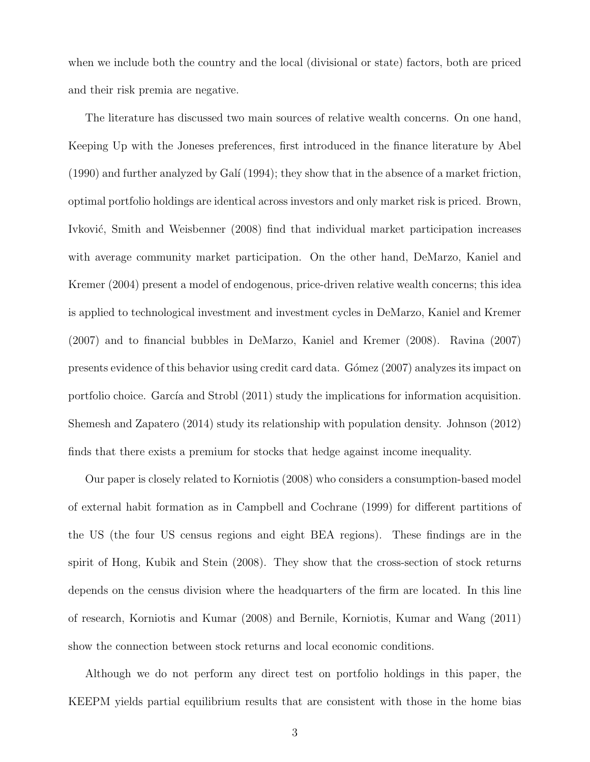when we include both the country and the local (divisional or state) factors, both are priced and their risk premia are negative.

The literature has discussed two main sources of relative wealth concerns. On one hand, Keeping Up with the Joneses preferences, first introduced in the finance literature by Abel  $(1990)$  and further analyzed by Galí  $(1994)$ ; they show that in the absence of a market friction, optimal portfolio holdings are identical across investors and only market risk is priced. Brown, Ivković, Smith and Weisbenner (2008) find that individual market participation increases with average community market participation. On the other hand, DeMarzo, Kaniel and Kremer (2004) present a model of endogenous, price-driven relative wealth concerns; this idea is applied to technological investment and investment cycles in DeMarzo, Kaniel and Kremer (2007) and to financial bubbles in DeMarzo, Kaniel and Kremer (2008). Ravina (2007) presents evidence of this behavior using credit card data. G´omez (2007) analyzes its impact on portfolio choice. García and Strobl (2011) study the implications for information acquisition. Shemesh and Zapatero (2014) study its relationship with population density. Johnson (2012) finds that there exists a premium for stocks that hedge against income inequality.

Our paper is closely related to Korniotis (2008) who considers a consumption-based model of external habit formation as in Campbell and Cochrane (1999) for different partitions of the US (the four US census regions and eight BEA regions). These findings are in the spirit of Hong, Kubik and Stein (2008). They show that the cross-section of stock returns depends on the census division where the headquarters of the firm are located. In this line of research, Korniotis and Kumar (2008) and Bernile, Korniotis, Kumar and Wang (2011) show the connection between stock returns and local economic conditions.

Although we do not perform any direct test on portfolio holdings in this paper, the KEEPM yields partial equilibrium results that are consistent with those in the home bias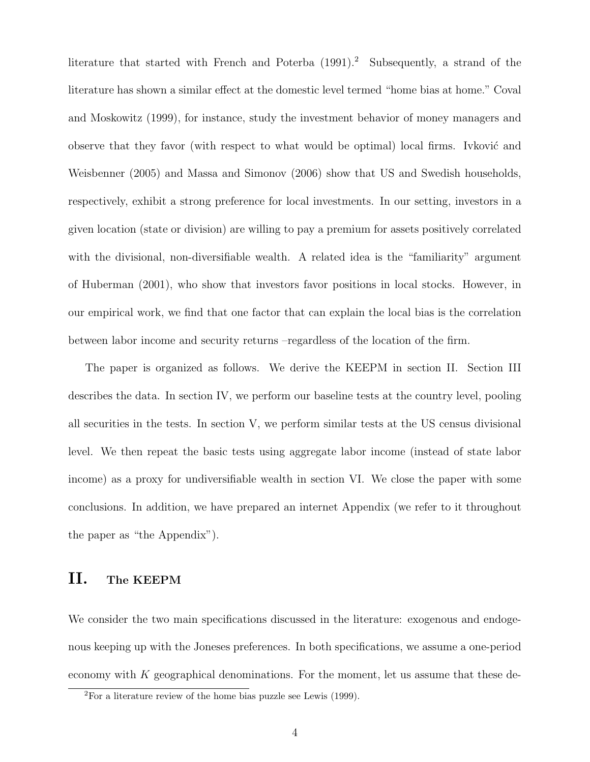literature that started with French and Poterba  $(1991)$ .<sup>2</sup> Subsequently, a strand of the literature has shown a similar effect at the domestic level termed "home bias at home." Coval and Moskowitz (1999), for instance, study the investment behavior of money managers and observe that they favor (with respect to what would be optimal) local firms. Ivković and Weisbenner (2005) and Massa and Simonov (2006) show that US and Swedish households, respectively, exhibit a strong preference for local investments. In our setting, investors in a given location (state or division) are willing to pay a premium for assets positively correlated with the divisional, non-diversifiable wealth. A related idea is the "familiarity" argument of Huberman (2001), who show that investors favor positions in local stocks. However, in our empirical work, we find that one factor that can explain the local bias is the correlation between labor income and security returns –regardless of the location of the firm.

The paper is organized as follows. We derive the KEEPM in section II. Section III describes the data. In section IV, we perform our baseline tests at the country level, pooling all securities in the tests. In section V, we perform similar tests at the US census divisional level. We then repeat the basic tests using aggregate labor income (instead of state labor income) as a proxy for undiversifiable wealth in section VI. We close the paper with some conclusions. In addition, we have prepared an internet Appendix (we refer to it throughout the paper as "the Appendix").

# II. The KEEPM

We consider the two main specifications discussed in the literature: exogenous and endogenous keeping up with the Joneses preferences. In both specifications, we assume a one-period economy with  $K$  geographical denominations. For the moment, let us assume that these de-

 ${}^{2}$ For a literature review of the home bias puzzle see Lewis (1999).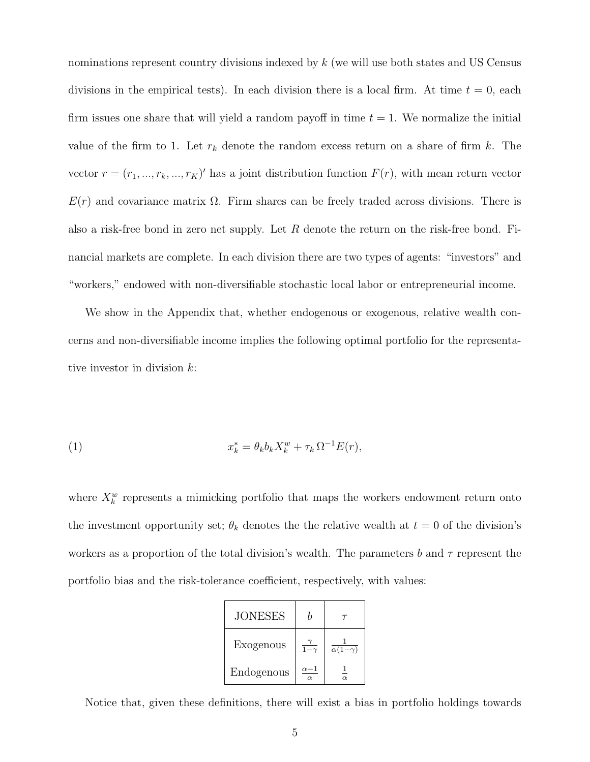nominations represent country divisions indexed by k (we will use both states and US Census divisions in the empirical tests). In each division there is a local firm. At time  $t = 0$ , each firm issues one share that will yield a random payoff in time  $t = 1$ . We normalize the initial value of the firm to 1. Let  $r_k$  denote the random excess return on a share of firm k. The vector  $r = (r_1, ..., r_k, ..., r_K)'$  has a joint distribution function  $F(r)$ , with mean return vector  $E(r)$  and covariance matrix  $\Omega$ . Firm shares can be freely traded across divisions. There is also a risk-free bond in zero net supply. Let R denote the return on the risk-free bond. Financial markets are complete. In each division there are two types of agents: "investors" and "workers," endowed with non-diversifiable stochastic local labor or entrepreneurial income.

We show in the Appendix that, whether endogenous or exogenous, relative wealth concerns and non-diversifiable income implies the following optimal portfolio for the representative investor in division  $k$ :

(1) 
$$
x_k^* = \theta_k b_k X_k^w + \tau_k \Omega^{-1} E(r),
$$

where  $X_k^w$  represents a mimicking portfolio that maps the workers endowment return onto the investment opportunity set;  $\theta_k$  denotes the the relative wealth at  $t = 0$  of the division's workers as a proportion of the total division's wealth. The parameters b and  $\tau$  represent the portfolio bias and the risk-tolerance coefficient, respectively, with values:

| JONESES    |                           |                    |
|------------|---------------------------|--------------------|
| Exogenous  | $\frac{\gamma}{1-\gamma}$ | $\alpha(1-\gamma)$ |
| Endogenous | $\alpha-1$                |                    |

Notice that, given these definitions, there will exist a bias in portfolio holdings towards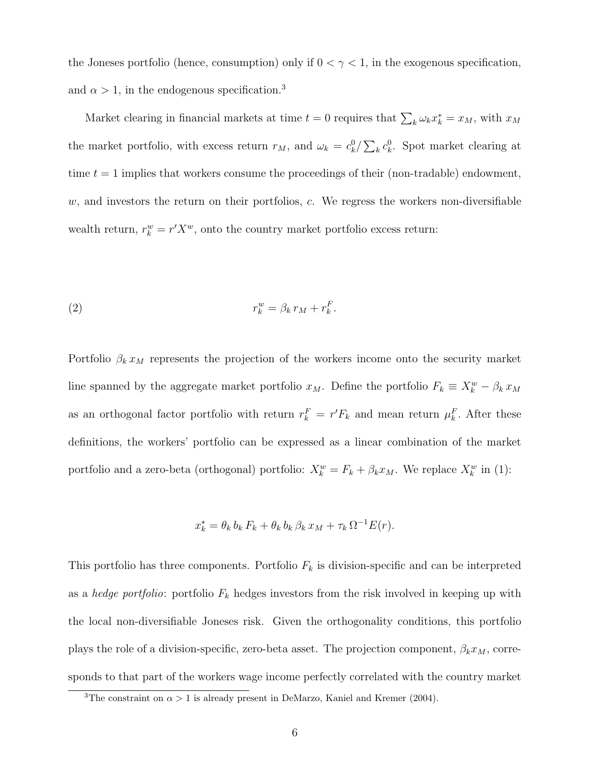the Joneses portfolio (hence, consumption) only if  $0 < \gamma < 1$ , in the exogenous specification, and  $\alpha > 1$ , in the endogenous specification.<sup>3</sup>

Market clearing in financial markets at time  $t = 0$  requires that  $\sum_{k} \omega_k x_k^* = x_M$ , with  $x_M$ the market portfolio, with excess return  $r_M$ , and  $\omega_k = c_k^0 / \sum_k c_k^0$ . Spot market clearing at time  $t = 1$  implies that workers consume the proceedings of their (non-tradable) endowment,  $w$ , and investors the return on their portfolios,  $c$ . We regress the workers non-diversifiable wealth return,  $r_k^w = r'X^w$ , onto the country market portfolio excess return:

$$
r_k^w = \beta_k r_M + r_k^F.
$$

Portfolio  $\beta_k x_M$  represents the projection of the workers income onto the security market line spanned by the aggregate market portfolio  $x_M$ . Define the portfolio  $F_k \equiv X_k^w - \beta_k x_M$ as an orthogonal factor portfolio with return  $r_k^F = r'F_k$  and mean return  $\mu_k^F$ . After these definitions, the workers' portfolio can be expressed as a linear combination of the market portfolio and a zero-beta (orthogonal) portfolio:  $X_k^w = F_k + \beta_k x_M$ . We replace  $X_k^w$  in (1):

$$
x_k^* = \theta_k b_k F_k + \theta_k b_k \beta_k x_M + \tau_k \Omega^{-1} E(r).
$$

This portfolio has three components. Portfolio  $F_k$  is division-specific and can be interpreted as a *hedge portfolio*: portfolio  $F_k$  hedges investors from the risk involved in keeping up with the local non-diversifiable Joneses risk. Given the orthogonality conditions, this portfolio plays the role of a division-specific, zero-beta asset. The projection component,  $\beta_k x_M$ , corresponds to that part of the workers wage income perfectly correlated with the country market

<sup>&</sup>lt;sup>3</sup>The constraint on  $\alpha > 1$  is already present in DeMarzo, Kaniel and Kremer (2004).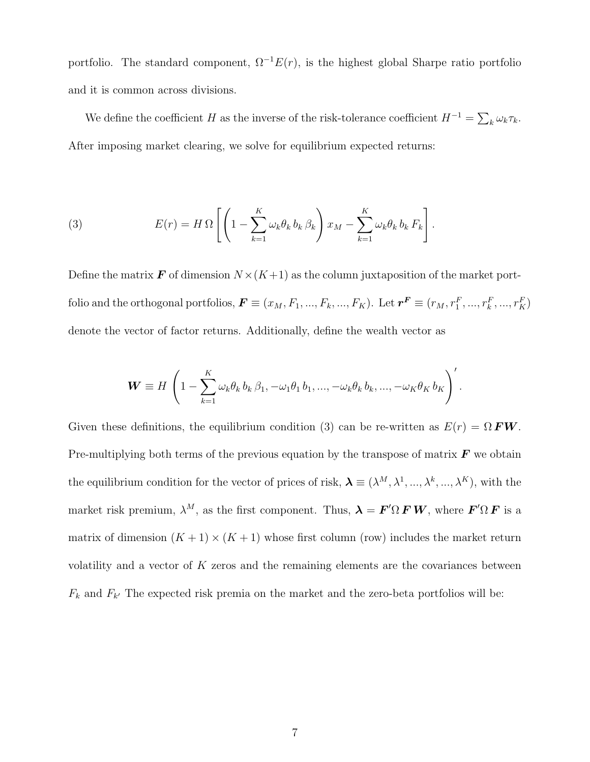portfolio. The standard component,  $\Omega^{-1}E(r)$ , is the highest global Sharpe ratio portfolio and it is common across divisions.

We define the coefficient H as the inverse of the risk-tolerance coefficient  $H^{-1} = \sum_{k} \omega_k \tau_k$ . After imposing market clearing, we solve for equilibrium expected returns:

(3) 
$$
E(r) = H \Omega \left[ \left( 1 - \sum_{k=1}^{K} \omega_k \theta_k b_k \beta_k \right) x_M - \sum_{k=1}^{K} \omega_k \theta_k b_k F_k \right].
$$

Define the matrix **F** of dimension  $N \times (K+1)$  as the column juxtaposition of the market portfolio and the orthogonal portfolios,  $\boldsymbol{F} \equiv (x_M, F_1, ..., F_k, ..., F_K)$ . Let  $\boldsymbol{r^F} \equiv (r_M, r_1^F, ..., r_k^F, ..., r_K^F)$ denote the vector of factor returns. Additionally, define the wealth vector as

$$
\mathbf{W} \equiv H\left(1 - \sum_{k=1}^K \omega_k \theta_k b_k \beta_1, -\omega_1 \theta_1 b_1, \dots, -\omega_k \theta_k b_k, \dots, -\omega_K \theta_K b_K\right)'.
$$

Given these definitions, the equilibrium condition (3) can be re-written as  $E(r) = \Omega F W$ . Pre-multiplying both terms of the previous equation by the transpose of matrix  $\bm{F}$  we obtain the equilibrium condition for the vector of prices of risk,  $\boldsymbol{\lambda} \equiv (\lambda^M, \lambda^1, ..., \lambda^k, ..., \lambda^K)$ , with the market risk premium,  $\lambda^M$ , as the first component. Thus,  $\lambda = F' \Omega F W$ , where  $F' \Omega F$  is a matrix of dimension  $(K + 1) \times (K + 1)$  whose first column (row) includes the market return volatility and a vector of  $K$  zeros and the remaining elements are the covariances between  $F_k$  and  $F_{k'}$  The expected risk premia on the market and the zero-beta portfolios will be: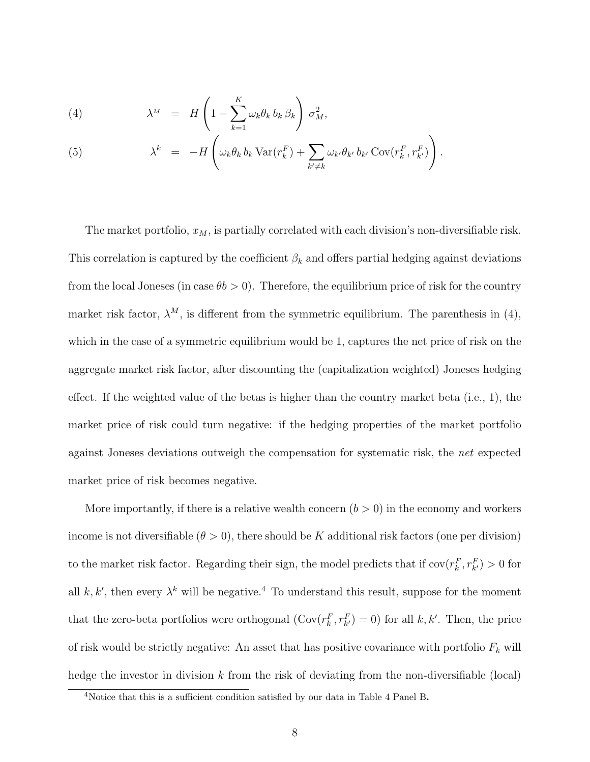(4) 
$$
\lambda^M = H \left( 1 - \sum_{k=1}^K \omega_k \theta_k b_k \beta_k \right) \sigma_M^2,
$$

(5) 
$$
\lambda^k = -H \left( \omega_k \theta_k b_k \operatorname{Var}(r_k^F) + \sum_{k' \neq k} \omega_{k'} \theta_{k'} b_{k'} \operatorname{Cov}(r_k^F, r_{k'}^F) \right).
$$

The market portfolio,  $x_M$ , is partially correlated with each division's non-diversifiable risk. This correlation is captured by the coefficient  $\beta_k$  and offers partial hedging against deviations from the local Joneses (in case  $\theta b > 0$ ). Therefore, the equilibrium price of risk for the country market risk factor,  $\lambda^M$ , is different from the symmetric equilibrium. The parenthesis in (4), which in the case of a symmetric equilibrium would be 1, captures the net price of risk on the aggregate market risk factor, after discounting the (capitalization weighted) Joneses hedging effect. If the weighted value of the betas is higher than the country market beta (i.e., 1), the market price of risk could turn negative: if the hedging properties of the market portfolio against Joneses deviations outweigh the compensation for systematic risk, the net expected market price of risk becomes negative.

More importantly, if there is a relative wealth concern  $(b > 0)$  in the economy and workers income is not diversifiable  $(\theta > 0)$ , there should be K additional risk factors (one per division) to the market risk factor. Regarding their sign, the model predicts that if  $cov(r_k^F, r_{k'}^F) > 0$  for all  $k, k'$ , then every  $\lambda^k$  will be negative.<sup>4</sup> To understand this result, suppose for the moment that the zero-beta portfolios were orthogonal  $(\text{Cov}(r_k^F, r_{k'}^F) = 0)$  for all k, k'. Then, the price of risk would be strictly negative: An asset that has positive covariance with portfolio  $F_k$  will hedge the investor in division  $k$  from the risk of deviating from the non-diversifiable (local)

<sup>&</sup>lt;sup>4</sup>Notice that this is a sufficient condition satisfied by our data in Table 4 Panel B.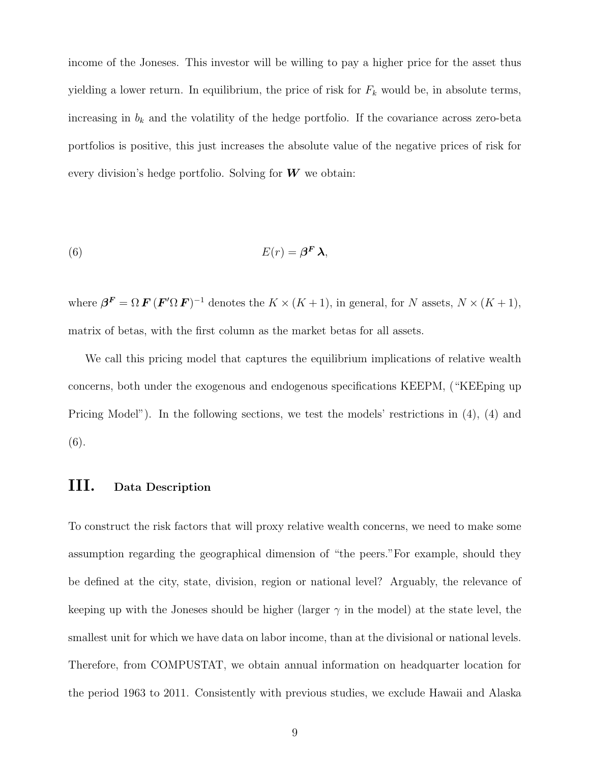income of the Joneses. This investor will be willing to pay a higher price for the asset thus yielding a lower return. In equilibrium, the price of risk for  $F_k$  would be, in absolute terms, increasing in  $b_k$  and the volatility of the hedge portfolio. If the covariance across zero-beta portfolios is positive, this just increases the absolute value of the negative prices of risk for every division's hedge portfolio. Solving for  $W$  we obtain:

(6) 
$$
E(r) = \boldsymbol{\beta}^{\boldsymbol{F}} \boldsymbol{\lambda},
$$

where  $\beta^F = \Omega F (F' \Omega F)^{-1}$  denotes the  $K \times (K + 1)$ , in general, for N assets,  $N \times (K + 1)$ , matrix of betas, with the first column as the market betas for all assets.

We call this pricing model that captures the equilibrium implications of relative wealth concerns, both under the exogenous and endogenous specifications KEEPM, ("KEEping up Pricing Model"). In the following sections, we test the models' restrictions in (4), (4) and (6).

# III. Data Description

To construct the risk factors that will proxy relative wealth concerns, we need to make some assumption regarding the geographical dimension of "the peers."For example, should they be defined at the city, state, division, region or national level? Arguably, the relevance of keeping up with the Joneses should be higher (larger  $\gamma$  in the model) at the state level, the smallest unit for which we have data on labor income, than at the divisional or national levels. Therefore, from COMPUSTAT, we obtain annual information on headquarter location for the period 1963 to 2011. Consistently with previous studies, we exclude Hawaii and Alaska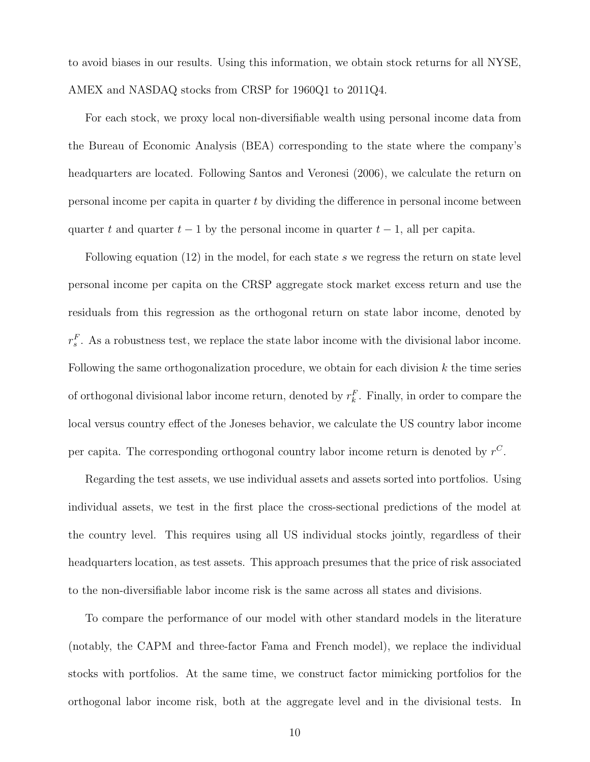to avoid biases in our results. Using this information, we obtain stock returns for all NYSE, AMEX and NASDAQ stocks from CRSP for 1960Q1 to 2011Q4.

For each stock, we proxy local non-diversifiable wealth using personal income data from the Bureau of Economic Analysis (BEA) corresponding to the state where the company's headquarters are located. Following Santos and Veronesi (2006), we calculate the return on personal income per capita in quarter  $t$  by dividing the difference in personal income between quarter t and quarter  $t - 1$  by the personal income in quarter  $t - 1$ , all per capita.

Following equation  $(12)$  in the model, for each state s we regress the return on state level personal income per capita on the CRSP aggregate stock market excess return and use the residuals from this regression as the orthogonal return on state labor income, denoted by  $r_s^F$ . As a robustness test, we replace the state labor income with the divisional labor income. Following the same orthogonalization procedure, we obtain for each division  $k$  the time series of orthogonal divisional labor income return, denoted by  $r_k^F$ . Finally, in order to compare the local versus country effect of the Joneses behavior, we calculate the US country labor income per capita. The corresponding orthogonal country labor income return is denoted by  $r^C$ .

Regarding the test assets, we use individual assets and assets sorted into portfolios. Using individual assets, we test in the first place the cross-sectional predictions of the model at the country level. This requires using all US individual stocks jointly, regardless of their headquarters location, as test assets. This approach presumes that the price of risk associated to the non-diversifiable labor income risk is the same across all states and divisions.

To compare the performance of our model with other standard models in the literature (notably, the CAPM and three-factor Fama and French model), we replace the individual stocks with portfolios. At the same time, we construct factor mimicking portfolios for the orthogonal labor income risk, both at the aggregate level and in the divisional tests. In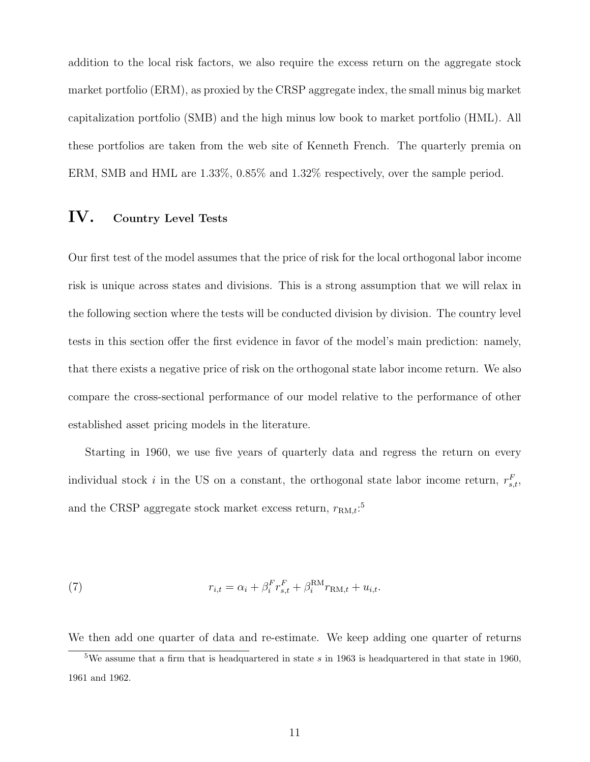addition to the local risk factors, we also require the excess return on the aggregate stock market portfolio (ERM), as proxied by the CRSP aggregate index, the small minus big market capitalization portfolio (SMB) and the high minus low book to market portfolio (HML). All these portfolios are taken from the web site of Kenneth French. The quarterly premia on ERM, SMB and HML are 1.33%, 0.85% and 1.32% respectively, over the sample period.

# IV. Country Level Tests

Our first test of the model assumes that the price of risk for the local orthogonal labor income risk is unique across states and divisions. This is a strong assumption that we will relax in the following section where the tests will be conducted division by division. The country level tests in this section offer the first evidence in favor of the model's main prediction: namely, that there exists a negative price of risk on the orthogonal state labor income return. We also compare the cross-sectional performance of our model relative to the performance of other established asset pricing models in the literature.

Starting in 1960, we use five years of quarterly data and regress the return on every individual stock i in the US on a constant, the orthogonal state labor income return,  $r_{s,t}^F$ , and the CRSP aggregate stock market excess return,  $r_{\text{RM},t}$ <sup>5</sup>

(7) 
$$
r_{i,t} = \alpha_i + \beta_i^F r_{s,t}^F + \beta_i^{RM} r_{RM,t} + u_{i,t}.
$$

We then add one quarter of data and re-estimate. We keep adding one quarter of returns

<sup>&</sup>lt;sup>5</sup>We assume that a firm that is headquartered in state s in 1963 is headquartered in that state in 1960, 1961 and 1962.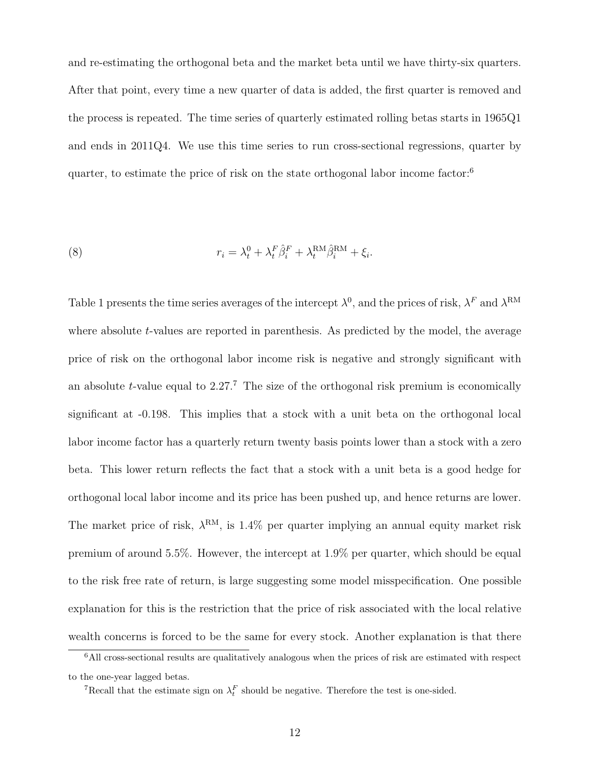and re-estimating the orthogonal beta and the market beta until we have thirty-six quarters. After that point, every time a new quarter of data is added, the first quarter is removed and the process is repeated. The time series of quarterly estimated rolling betas starts in 1965Q1 and ends in 2011Q4. We use this time series to run cross-sectional regressions, quarter by quarter, to estimate the price of risk on the state orthogonal labor income factor:<sup>6</sup>

(8) 
$$
r_i = \lambda_t^0 + \lambda_t^F \hat{\beta}_i^F + \lambda_t^{RM} \hat{\beta}_i^{RM} + \xi_i.
$$

Table 1 presents the time series averages of the intercept  $\lambda^0$ , and the prices of risk,  $\lambda^F$  and  $\lambda^{RM}$ where absolute t-values are reported in parenthesis. As predicted by the model, the average price of risk on the orthogonal labor income risk is negative and strongly significant with an absolute t-value equal to  $2.27<sup>7</sup>$ . The size of the orthogonal risk premium is economically significant at -0.198. This implies that a stock with a unit beta on the orthogonal local labor income factor has a quarterly return twenty basis points lower than a stock with a zero beta. This lower return reflects the fact that a stock with a unit beta is a good hedge for orthogonal local labor income and its price has been pushed up, and hence returns are lower. The market price of risk,  $\lambda^{RM}$ , is 1.4% per quarter implying an annual equity market risk premium of around 5.5%. However, the intercept at 1.9% per quarter, which should be equal to the risk free rate of return, is large suggesting some model misspecification. One possible explanation for this is the restriction that the price of risk associated with the local relative wealth concerns is forced to be the same for every stock. Another explanation is that there

<sup>&</sup>lt;sup>6</sup>All cross-sectional results are qualitatively analogous when the prices of risk are estimated with respect to the one-year lagged betas.

<sup>&</sup>lt;sup>7</sup>Recall that the estimate sign on  $\lambda_t^F$  should be negative. Therefore the test is one-sided.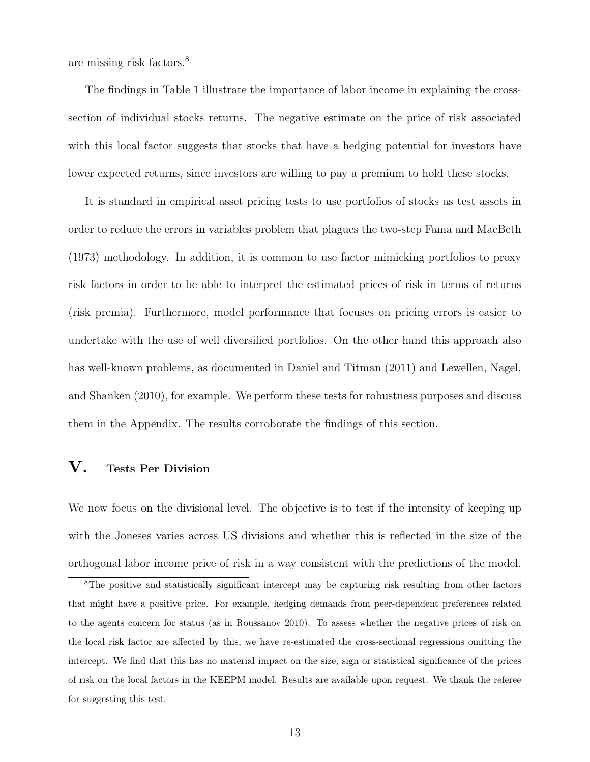are missing risk factors.<sup>8</sup>

The findings in Table 1 illustrate the importance of labor income in explaining the crosssection of individual stocks returns. The negative estimate on the price of risk associated with this local factor suggests that stocks that have a hedging potential for investors have lower expected returns, since investors are willing to pay a premium to hold these stocks.

It is standard in empirical asset pricing tests to use portfolios of stocks as test assets in order to reduce the errors in variables problem that plagues the two-step Fama and MacBeth (1973) methodology. In addition, it is common to use factor mimicking portfolios to proxy risk factors in order to be able to interpret the estimated prices of risk in terms of returns (risk premia). Furthermore, model performance that focuses on pricing errors is easier to undertake with the use of well diversified portfolios. On the other hand this approach also has well-known problems, as documented in Daniel and Titman (2011) and Lewellen, Nagel, and Shanken (2010), for example. We perform these tests for robustness purposes and discuss them in the Appendix. The results corroborate the findings of this section.

# V. Tests Per Division

We now focus on the divisional level. The objective is to test if the intensity of keeping up with the Joneses varies across US divisions and whether this is reflected in the size of the orthogonal labor income price of risk in a way consistent with the predictions of the model.

<sup>&</sup>lt;sup>8</sup>The positive and statistically significant intercept may be capturing risk resulting from other factors that might have a positive price. For example, hedging demands from peer-dependent preferences related to the agents concern for status (as in Roussanov 2010). To assess whether the negative prices of risk on the local risk factor are affected by this, we have re-estimated the cross-sectional regressions omitting the intercept. We find that this has no material impact on the size, sign or statistical significance of the prices of risk on the local factors in the KEEPM model. Results are available upon request. We thank the referee for suggesting this test.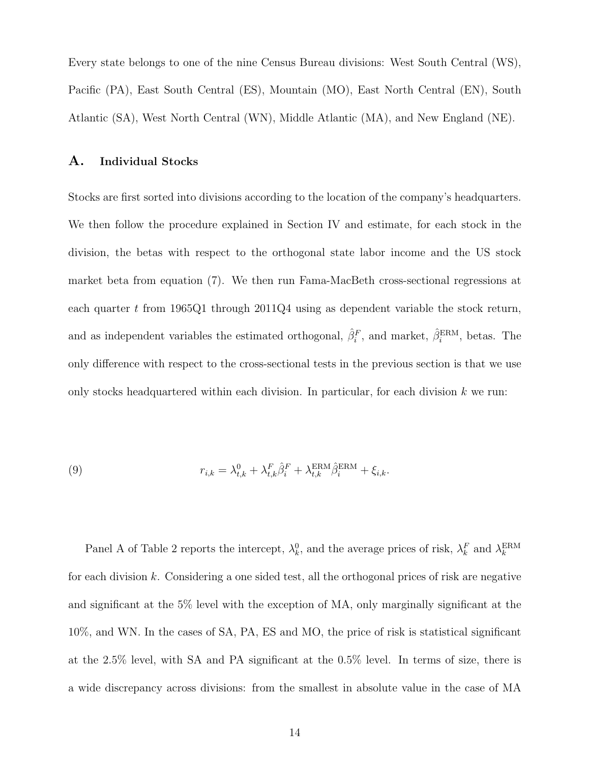Every state belongs to one of the nine Census Bureau divisions: West South Central (WS), Pacific (PA), East South Central (ES), Mountain (MO), East North Central (EN), South Atlantic (SA), West North Central (WN), Middle Atlantic (MA), and New England (NE).

### A. Individual Stocks

Stocks are first sorted into divisions according to the location of the company's headquarters. We then follow the procedure explained in Section IV and estimate, for each stock in the division, the betas with respect to the orthogonal state labor income and the US stock market beta from equation (7). We then run Fama-MacBeth cross-sectional regressions at each quarter t from 1965Q1 through 2011Q4 using as dependent variable the stock return, and as independent variables the estimated orthogonal,  $\hat{\beta}_i^F$ , and market,  $\hat{\beta}_i^{ERM}$ , betas. The only difference with respect to the cross-sectional tests in the previous section is that we use only stocks headquartered within each division. In particular, for each division  $k$  we run:

(9) 
$$
r_{i,k} = \lambda_{t,k}^0 + \lambda_{t,k}^F \hat{\beta}_i^F + \lambda_{t,k}^{\text{ERM}} \hat{\beta}_i^{\text{ERM}} + \xi_{i,k}.
$$

Panel A of Table 2 reports the intercept,  $\lambda_k^0$ , and the average prices of risk,  $\lambda_k^F$  and  $\lambda_k^{ERM}$ for each division  $k$ . Considering a one sided test, all the orthogonal prices of risk are negative and significant at the 5% level with the exception of MA, only marginally significant at the 10%, and WN. In the cases of SA, PA, ES and MO, the price of risk is statistical significant at the 2.5% level, with SA and PA significant at the 0.5% level. In terms of size, there is a wide discrepancy across divisions: from the smallest in absolute value in the case of MA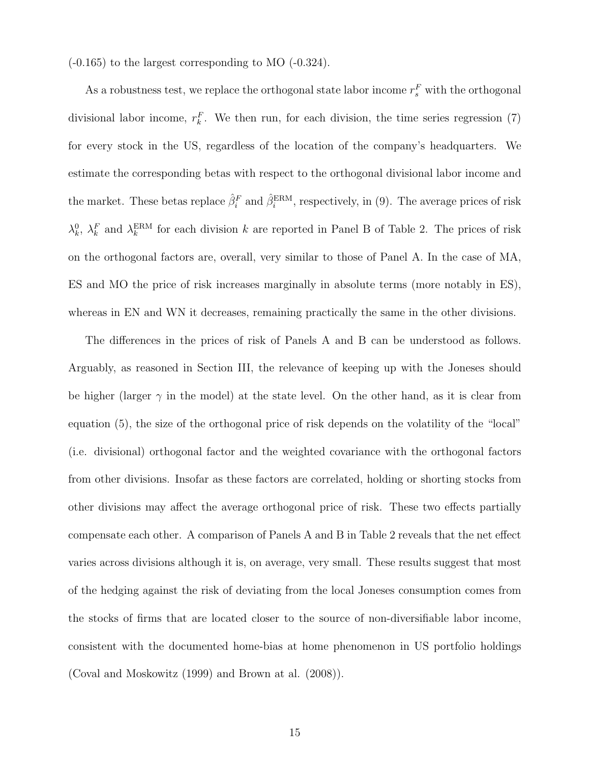(-0.165) to the largest corresponding to MO (-0.324).

As a robustness test, we replace the orthogonal state labor income  $r_s^F$  with the orthogonal divisional labor income,  $r_k^F$ . We then run, for each division, the time series regression (7) for every stock in the US, regardless of the location of the company's headquarters. We estimate the corresponding betas with respect to the orthogonal divisional labor income and the market. These betas replace  $\hat{\beta}_i^F$  and  $\hat{\beta}_i^{ERM}$ , respectively, in (9). The average prices of risk  $\lambda_k^0$ ,  $\lambda_k^F$  and  $\lambda_k^{\text{ERM}}$  for each division k are reported in Panel B of Table 2. The prices of risk on the orthogonal factors are, overall, very similar to those of Panel A. In the case of MA, ES and MO the price of risk increases marginally in absolute terms (more notably in ES), whereas in EN and WN it decreases, remaining practically the same in the other divisions.

The differences in the prices of risk of Panels A and B can be understood as follows. Arguably, as reasoned in Section III, the relevance of keeping up with the Joneses should be higher (larger  $\gamma$  in the model) at the state level. On the other hand, as it is clear from equation (5), the size of the orthogonal price of risk depends on the volatility of the "local" (i.e. divisional) orthogonal factor and the weighted covariance with the orthogonal factors from other divisions. Insofar as these factors are correlated, holding or shorting stocks from other divisions may affect the average orthogonal price of risk. These two effects partially compensate each other. A comparison of Panels A and B in Table 2 reveals that the net effect varies across divisions although it is, on average, very small. These results suggest that most of the hedging against the risk of deviating from the local Joneses consumption comes from the stocks of firms that are located closer to the source of non-diversifiable labor income, consistent with the documented home-bias at home phenomenon in US portfolio holdings (Coval and Moskowitz (1999) and Brown at al. (2008)).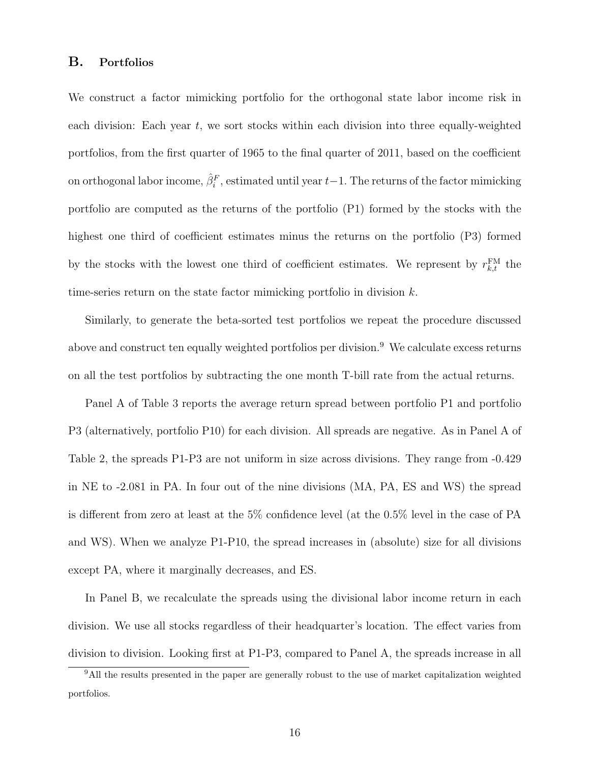#### B. Portfolios

We construct a factor mimicking portfolio for the orthogonal state labor income risk in each division: Each year  $t$ , we sort stocks within each division into three equally-weighted portfolios, from the first quarter of 1965 to the final quarter of 2011, based on the coefficient on orthogonal labor income,  $\hat{\beta}_i^F$ , estimated until year  $t-1$ . The returns of the factor mimicking portfolio are computed as the returns of the portfolio (P1) formed by the stocks with the highest one third of coefficient estimates minus the returns on the portfolio (P3) formed by the stocks with the lowest one third of coefficient estimates. We represent by  $r_{k,t}^{\text{FM}}$  the time-series return on the state factor mimicking portfolio in division k.

Similarly, to generate the beta-sorted test portfolios we repeat the procedure discussed above and construct ten equally weighted portfolios per division.<sup>9</sup> We calculate excess returns on all the test portfolios by subtracting the one month T-bill rate from the actual returns.

Panel A of Table 3 reports the average return spread between portfolio P1 and portfolio P3 (alternatively, portfolio P10) for each division. All spreads are negative. As in Panel A of Table 2, the spreads P1-P3 are not uniform in size across divisions. They range from -0.429 in NE to -2.081 in PA. In four out of the nine divisions (MA, PA, ES and WS) the spread is different from zero at least at the 5% confidence level (at the 0.5% level in the case of PA and WS). When we analyze P1-P10, the spread increases in (absolute) size for all divisions except PA, where it marginally decreases, and ES.

In Panel B, we recalculate the spreads using the divisional labor income return in each division. We use all stocks regardless of their headquarter's location. The effect varies from division to division. Looking first at P1-P3, compared to Panel A, the spreads increase in all

<sup>9</sup>All the results presented in the paper are generally robust to the use of market capitalization weighted portfolios.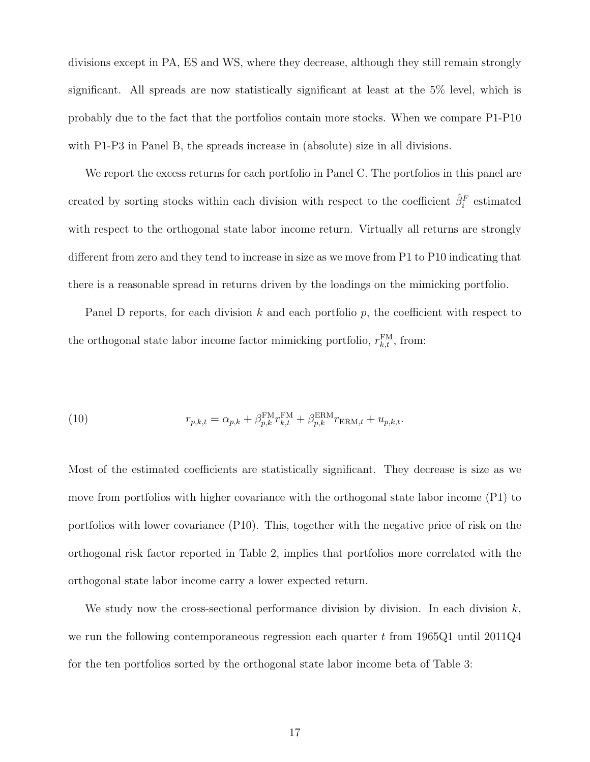divisions except in PA, ES and WS, where they decrease, although they still remain strongly significant. All spreads are now statistically significant at least at the 5% level, which is probably due to the fact that the portfolios contain more stocks. When we compare P1-P10 with P1-P3 in Panel B, the spreads increase in (absolute) size in all divisions.

We report the excess returns for each portfolio in Panel C. The portfolios in this panel are created by sorting stocks within each division with respect to the coefficient  $\hat{\beta}_i^F$  estimated with respect to the orthogonal state labor income return. Virtually all returns are strongly different from zero and they tend to increase in size as we move from P1 to P10 indicating that there is a reasonable spread in returns driven by the loadings on the mimicking portfolio.

Panel D reports, for each division  $k$  and each portfolio  $p$ , the coefficient with respect to the orthogonal state labor income factor mimicking portfolio,  $r_{k,t}^{\text{FM}}$ , from:

(10) 
$$
r_{p,k,t} = \alpha_{p,k} + \beta_{p,k}^{\text{FM}} r_{k,t}^{\text{FM}} + \beta_{p,k}^{\text{ERM}} r_{\text{ERM},t} + u_{p,k,t}.
$$

Most of the estimated coefficients are statistically significant. They decrease is size as we move from portfolios with higher covariance with the orthogonal state labor income (P1) to portfolios with lower covariance (P10). This, together with the negative price of risk on the orthogonal risk factor reported in Table 2, implies that portfolios more correlated with the orthogonal state labor income carry a lower expected return.

We study now the cross-sectional performance division by division. In each division  $k$ , we run the following contemporaneous regression each quarter t from 1965Q1 until 2011Q4 for the ten portfolios sorted by the orthogonal state labor income beta of Table 3: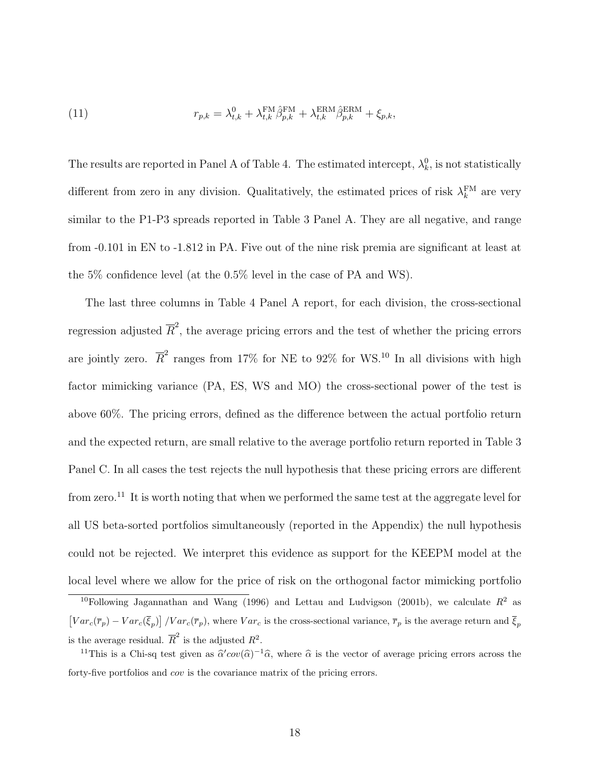(11) 
$$
r_{p,k} = \lambda_{t,k}^0 + \lambda_{t,k}^{\text{FM}} \hat{\beta}_{p,k}^{\text{FM}} + \lambda_{t,k}^{\text{ERM}} \hat{\beta}_{p,k}^{\text{ERM}} + \xi_{p,k},
$$

The results are reported in Panel A of Table 4. The estimated intercept,  $\lambda_k^0$ , is not statistically different from zero in any division. Qualitatively, the estimated prices of risk  $\lambda_k^{\text{FM}}$  are very similar to the P1-P3 spreads reported in Table 3 Panel A. They are all negative, and range from -0.101 in EN to -1.812 in PA. Five out of the nine risk premia are significant at least at the 5% confidence level (at the 0.5% level in the case of PA and WS).

The last three columns in Table 4 Panel A report, for each division, the cross-sectional regression adjusted  $\overline{R}^2$ , the average pricing errors and the test of whether the pricing errors are jointly zero.  $\overline{R}^2$  ranges from 17% for NE to 92% for WS.<sup>10</sup> In all divisions with high factor mimicking variance (PA, ES, WS and MO) the cross-sectional power of the test is above 60%. The pricing errors, defined as the difference between the actual portfolio return and the expected return, are small relative to the average portfolio return reported in Table 3 Panel C. In all cases the test rejects the null hypothesis that these pricing errors are different from zero.<sup>11</sup> It is worth noting that when we performed the same test at the aggregate level for all US beta-sorted portfolios simultaneously (reported in the Appendix) the null hypothesis could not be rejected. We interpret this evidence as support for the KEEPM model at the local level where we allow for the price of risk on the orthogonal factor mimicking portfolio

<sup>&</sup>lt;sup>10</sup>Following Jagannathan and Wang (1996) and Lettau and Ludvigson (2001b), we calculate  $R^2$  as  $\left[Var_c(\overline{r}_p) - Var_c(\overline{\xi}_p)\right] / Var_c(\overline{r}_p)$ , where  $Var_c$  is the cross-sectional variance,  $\overline{r}_p$  is the average return and  $\overline{\xi}_p$ is the average residual.  $\overline{R}^2$  is the adjusted  $R^2$ .

<sup>&</sup>lt;sup>11</sup>This is a Chi-sq test given as  $\hat{\alpha}' cov(\hat{\alpha})^{-1}\hat{\alpha}$ , where  $\hat{\alpha}$  is the vector of average pricing errors across the forty-five portfolios and *cov* is the covariance matrix of the pricing errors.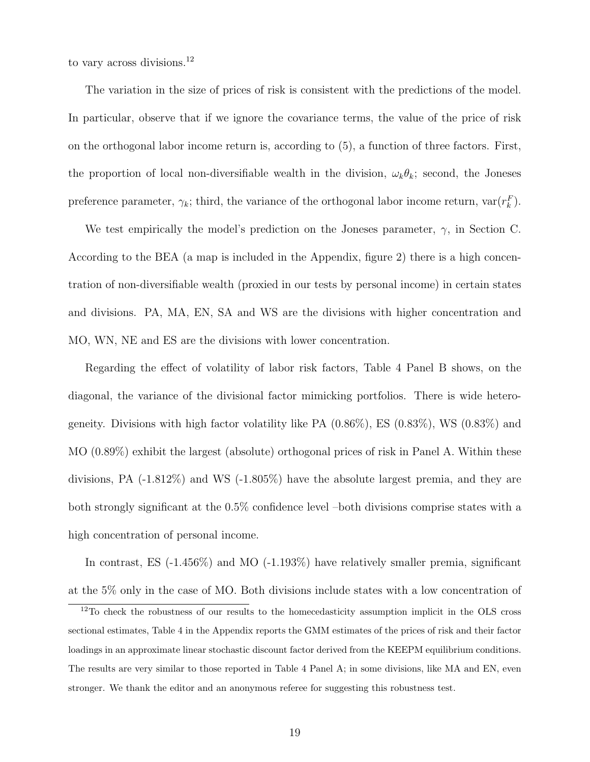to vary across divisions.<sup>12</sup>

The variation in the size of prices of risk is consistent with the predictions of the model. In particular, observe that if we ignore the covariance terms, the value of the price of risk on the orthogonal labor income return is, according to (5), a function of three factors. First, the proportion of local non-diversifiable wealth in the division,  $\omega_k \theta_k$ ; second, the Joneses preference parameter,  $\gamma_k$ ; third, the variance of the orthogonal labor income return,  $var(r_k^F)$ .

We test empirically the model's prediction on the Joneses parameter,  $\gamma$ , in Section C. According to the BEA (a map is included in the Appendix, figure 2) there is a high concentration of non-diversifiable wealth (proxied in our tests by personal income) in certain states and divisions. PA, MA, EN, SA and WS are the divisions with higher concentration and MO, WN, NE and ES are the divisions with lower concentration.

Regarding the effect of volatility of labor risk factors, Table 4 Panel B shows, on the diagonal, the variance of the divisional factor mimicking portfolios. There is wide heterogeneity. Divisions with high factor volatility like PA (0.86%), ES (0.83%), WS (0.83%) and MO (0.89%) exhibit the largest (absolute) orthogonal prices of risk in Panel A. Within these divisions, PA  $(-1.812\%)$  and WS  $(-1.805\%)$  have the absolute largest premia, and they are both strongly significant at the 0.5% confidence level –both divisions comprise states with a high concentration of personal income.

In contrast, ES (-1.456%) and MO (-1.193%) have relatively smaller premia, significant at the 5% only in the case of MO. Both divisions include states with a low concentration of

 $12$ To check the robustness of our results to the homecedasticity assumption implicit in the OLS cross sectional estimates, Table 4 in the Appendix reports the GMM estimates of the prices of risk and their factor loadings in an approximate linear stochastic discount factor derived from the KEEPM equilibrium conditions. The results are very similar to those reported in Table 4 Panel A; in some divisions, like MA and EN, even stronger. We thank the editor and an anonymous referee for suggesting this robustness test.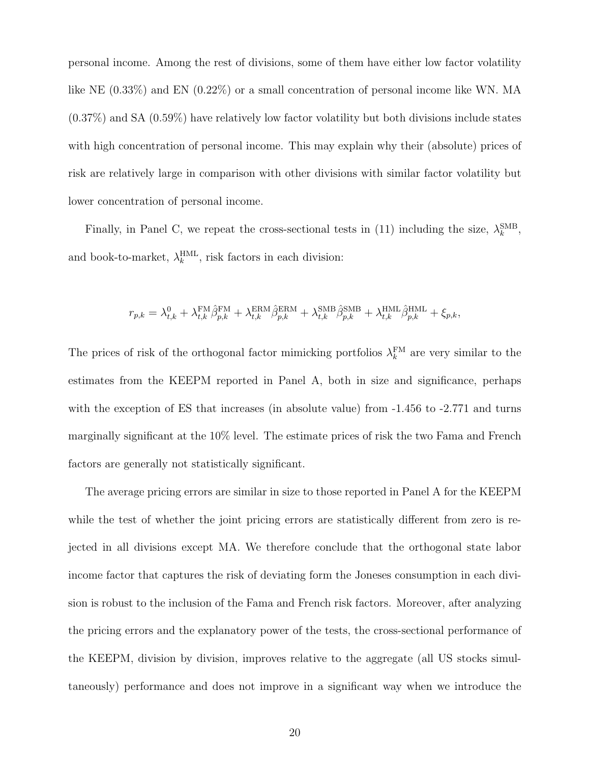personal income. Among the rest of divisions, some of them have either low factor volatility like NE (0.33%) and EN (0.22%) or a small concentration of personal income like WN. MA (0.37%) and SA (0.59%) have relatively low factor volatility but both divisions include states with high concentration of personal income. This may explain why their (absolute) prices of risk are relatively large in comparison with other divisions with similar factor volatility but lower concentration of personal income.

Finally, in Panel C, we repeat the cross-sectional tests in (11) including the size,  $\lambda_k^{\text{SMB}}$ , and book-to-market,  $\lambda_k^{\text{HML}}$ , risk factors in each division:

$$
r_{p,k} = \lambda_{t,k}^0 + \lambda_{t,k}^{\text{FM}} \hat{\beta}_{p,k}^{\text{FM}} + \lambda_{t,k}^{\text{ERM}} \hat{\beta}_{p,k}^{\text{ERM}} + \lambda_{t,k}^{\text{SMB}} \hat{\beta}_{p,k}^{\text{SMB}} + \lambda_{t,k}^{\text{HML}} \hat{\beta}_{p,k}^{\text{HML}} + \xi_{p,k},
$$

The prices of risk of the orthogonal factor mimicking portfolios  $\lambda_k^{\text{FM}}$  are very similar to the estimates from the KEEPM reported in Panel A, both in size and significance, perhaps with the exception of ES that increases (in absolute value) from  $-1.456$  to  $-2.771$  and turns marginally significant at the 10% level. The estimate prices of risk the two Fama and French factors are generally not statistically significant.

The average pricing errors are similar in size to those reported in Panel A for the KEEPM while the test of whether the joint pricing errors are statistically different from zero is rejected in all divisions except MA. We therefore conclude that the orthogonal state labor income factor that captures the risk of deviating form the Joneses consumption in each division is robust to the inclusion of the Fama and French risk factors. Moreover, after analyzing the pricing errors and the explanatory power of the tests, the cross-sectional performance of the KEEPM, division by division, improves relative to the aggregate (all US stocks simultaneously) performance and does not improve in a significant way when we introduce the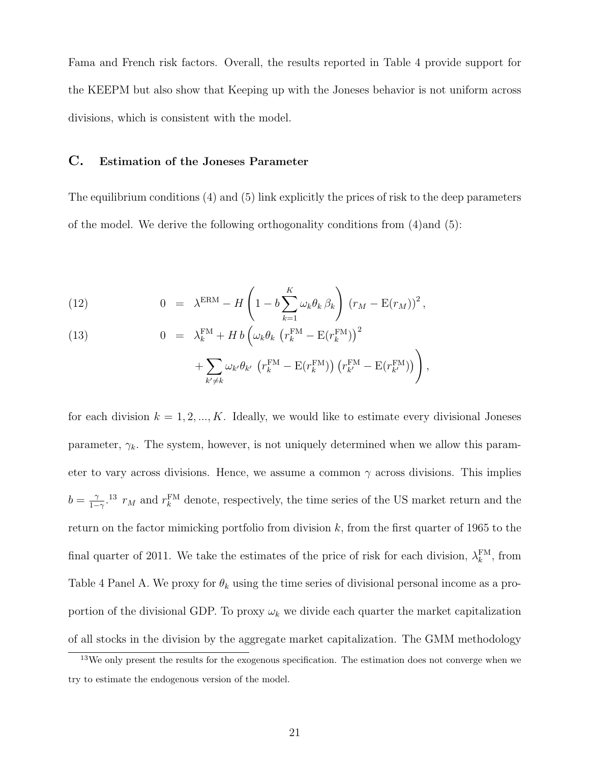Fama and French risk factors. Overall, the results reported in Table 4 provide support for the KEEPM but also show that Keeping up with the Joneses behavior is not uniform across divisions, which is consistent with the model.

### C. Estimation of the Joneses Parameter

The equilibrium conditions (4) and (5) link explicitly the prices of risk to the deep parameters of the model. We derive the following orthogonality conditions from  $(4)$  and  $(5)$ :

,

(12) 
$$
0 = \lambda^{\text{ERM}} - H \left( 1 - b \sum_{k=1}^{K} \omega_k \theta_k \beta_k \right) (r_M - \mathcal{E}(r_M))^2,
$$

(13) 
$$
0 = \lambda_k^{FM} + H b \left( \omega_k \theta_k \left( r_k^{FM} - E(r_k^{FM}) \right)^2 + \sum_{k' \neq k} \omega_{k'} \theta_{k'} \left( r_k^{FM} - E(r_k^{FM}) \right) \left( r_{k'}^{FM} - E(r_{k'}^{FM}) \right) \right)
$$

for each division  $k = 1, 2, ..., K$ . Ideally, we would like to estimate every divisional Joneses parameter,  $\gamma_k$ . The system, however, is not uniquely determined when we allow this parameter to vary across divisions. Hence, we assume a common  $\gamma$  across divisions. This implies  $b=\frac{\gamma}{1-\gamma}$  $\frac{\gamma}{1-\gamma}$ .<sup>13</sup>  $r_M$  and  $r_k^{\text{FM}}$  denote, respectively, the time series of the US market return and the return on the factor mimicking portfolio from division  $k$ , from the first quarter of 1965 to the final quarter of 2011. We take the estimates of the price of risk for each division,  $\lambda_k^{\text{FM}}$ , from Table 4 Panel A. We proxy for  $\theta_k$  using the time series of divisional personal income as a proportion of the divisional GDP. To proxy  $\omega_k$  we divide each quarter the market capitalization of all stocks in the division by the aggregate market capitalization. The GMM methodology

<sup>&</sup>lt;sup>13</sup>We only present the results for the exogenous specification. The estimation does not converge when we try to estimate the endogenous version of the model.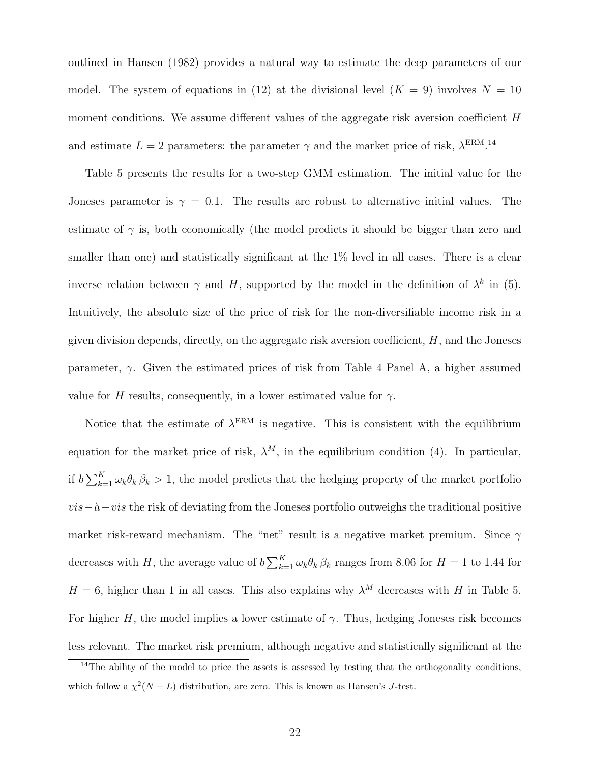outlined in Hansen (1982) provides a natural way to estimate the deep parameters of our model. The system of equations in (12) at the divisional level  $(K = 9)$  involves  $N = 10$ moment conditions. We assume different values of the aggregate risk aversion coefficient  $H$ and estimate  $L = 2$  parameters: the parameter  $\gamma$  and the market price of risk,  $\lambda^{\text{ERM}}$ <sup>14</sup>

Table 5 presents the results for a two-step GMM estimation. The initial value for the Joneses parameter is  $\gamma = 0.1$ . The results are robust to alternative initial values. The estimate of  $\gamma$  is, both economically (the model predicts it should be bigger than zero and smaller than one) and statistically significant at the  $1\%$  level in all cases. There is a clear inverse relation between  $\gamma$  and H, supported by the model in the definition of  $\lambda^k$  in (5). Intuitively, the absolute size of the price of risk for the non-diversifiable income risk in a given division depends, directly, on the aggregate risk aversion coefficient,  $H$ , and the Joneses parameter,  $\gamma$ . Given the estimated prices of risk from Table 4 Panel A, a higher assumed value for H results, consequently, in a lower estimated value for  $\gamma$ .

Notice that the estimate of  $\lambda^{\text{ERM}}$  is negative. This is consistent with the equilibrium equation for the market price of risk,  $\lambda^M$ , in the equilibrium condition (4). In particular, if  $b\sum_{k=1}^K \omega_k \theta_k \beta_k > 1$ , the model predicts that the hedging property of the market portfolio  $vis-\hat{a}-vis$  the risk of deviating from the Joneses portfolio outweighs the traditional positive market risk-reward mechanism. The "net" result is a negative market premium. Since  $\gamma$ decreases with H, the average value of  $b\sum_{k=1}^{K} \omega_k \theta_k \beta_k$  ranges from 8.06 for  $H = 1$  to 1.44 for  $H = 6$ , higher than 1 in all cases. This also explains why  $\lambda^M$  decreases with H in Table 5. For higher H, the model implies a lower estimate of  $\gamma$ . Thus, hedging Joneses risk becomes less relevant. The market risk premium, although negative and statistically significant at the

<sup>&</sup>lt;sup>14</sup>The ability of the model to price the assets is assessed by testing that the orthogonality conditions, which follow a  $\chi^2(N-L)$  distribution, are zero. This is known as Hansen's J-test.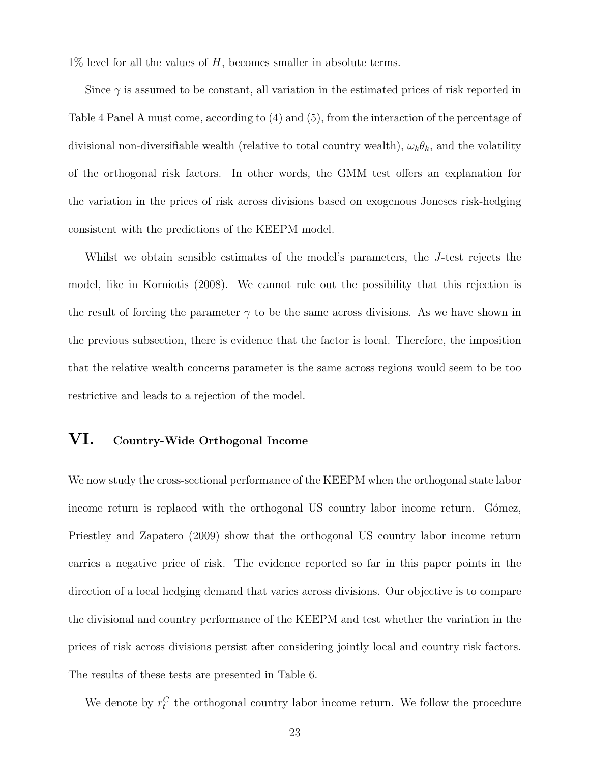$1\%$  level for all the values of H, becomes smaller in absolute terms.

Since  $\gamma$  is assumed to be constant, all variation in the estimated prices of risk reported in Table 4 Panel A must come, according to (4) and (5), from the interaction of the percentage of divisional non-diversifiable wealth (relative to total country wealth),  $\omega_k \theta_k$ , and the volatility of the orthogonal risk factors. In other words, the GMM test offers an explanation for the variation in the prices of risk across divisions based on exogenous Joneses risk-hedging consistent with the predictions of the KEEPM model.

Whilst we obtain sensible estimates of the model's parameters, the J-test rejects the model, like in Korniotis (2008). We cannot rule out the possibility that this rejection is the result of forcing the parameter  $\gamma$  to be the same across divisions. As we have shown in the previous subsection, there is evidence that the factor is local. Therefore, the imposition that the relative wealth concerns parameter is the same across regions would seem to be too restrictive and leads to a rejection of the model.

# VI. Country-Wide Orthogonal Income

We now study the cross-sectional performance of the KEEPM when the orthogonal state labor income return is replaced with the orthogonal US country labor income return. Gómez, Priestley and Zapatero (2009) show that the orthogonal US country labor income return carries a negative price of risk. The evidence reported so far in this paper points in the direction of a local hedging demand that varies across divisions. Our objective is to compare the divisional and country performance of the KEEPM and test whether the variation in the prices of risk across divisions persist after considering jointly local and country risk factors. The results of these tests are presented in Table 6.

We denote by  $r_t^C$  the orthogonal country labor income return. We follow the procedure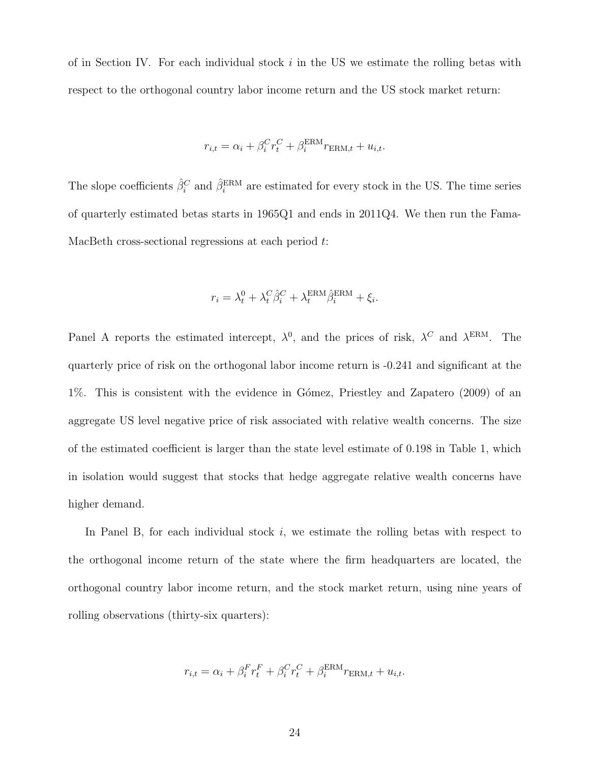of in Section IV. For each individual stock  $i$  in the US we estimate the rolling betas with respect to the orthogonal country labor income return and the US stock market return:

$$
r_{i,t} = \alpha_i + \beta_i^C r_t^C + \beta_i^{\text{ERM}} r_{\text{ERM},t} + u_{i,t}.
$$

The slope coefficients  $\hat{\beta}_i^C$  and  $\hat{\beta}_i^{ERM}$  are estimated for every stock in the US. The time series of quarterly estimated betas starts in 1965Q1 and ends in 2011Q4. We then run the Fama-MacBeth cross-sectional regressions at each period t:

$$
r_i = \lambda^0_t + \lambda^C_t \hat \beta^C_i + \lambda^{\text{ERM}}_t \hat \beta^{\text{ERM}}_i + \xi_i.
$$

Panel A reports the estimated intercept,  $\lambda^0$ , and the prices of risk,  $\lambda^C$  and  $\lambda^{\text{ERM}}$ . The quarterly price of risk on the orthogonal labor income return is -0.241 and significant at the 1%. This is consistent with the evidence in G´omez, Priestley and Zapatero (2009) of an aggregate US level negative price of risk associated with relative wealth concerns. The size of the estimated coefficient is larger than the state level estimate of 0.198 in Table 1, which in isolation would suggest that stocks that hedge aggregate relative wealth concerns have higher demand.

In Panel B, for each individual stock i, we estimate the rolling betas with respect to the orthogonal income return of the state where the firm headquarters are located, the orthogonal country labor income return, and the stock market return, using nine years of rolling observations (thirty-six quarters):

$$
r_{i,t} = \alpha_i + \beta_i^F r_t^F + \beta_i^C r_t^C + \beta_i^{\text{ERM}} r_{\text{ERM},t} + u_{i,t}.
$$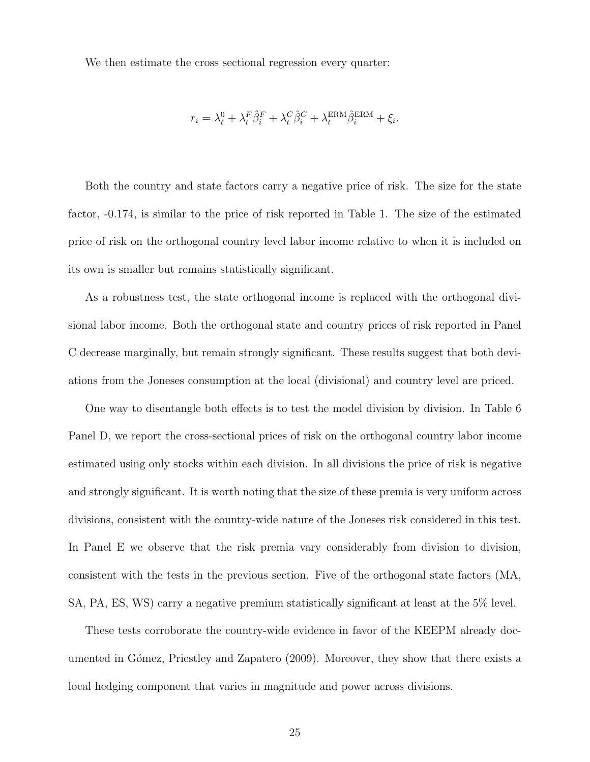We then estimate the cross sectional regression every quarter:

$$
r_i = \lambda^0_t + \lambda^F_t \hat \beta^F_i + \lambda^C_t \hat \beta^C_i + \lambda^{\text{ERM}}_t \hat \beta^{\text{ERM}}_i + \xi_i.
$$

Both the country and state factors carry a negative price of risk. The size for the state factor, -0.174, is similar to the price of risk reported in Table 1. The size of the estimated price of risk on the orthogonal country level labor income relative to when it is included on its own is smaller but remains statistically significant.

As a robustness test, the state orthogonal income is replaced with the orthogonal divisional labor income. Both the orthogonal state and country prices of risk reported in Panel C decrease marginally, but remain strongly significant. These results suggest that both deviations from the Joneses consumption at the local (divisional) and country level are priced.

One way to disentangle both effects is to test the model division by division. In Table 6 Panel D, we report the cross-sectional prices of risk on the orthogonal country labor income estimated using only stocks within each division. In all divisions the price of risk is negative and strongly significant. It is worth noting that the size of these premia is very uniform across divisions, consistent with the country-wide nature of the Joneses risk considered in this test. In Panel E we observe that the risk premia vary considerably from division to division, consistent with the tests in the previous section. Five of the orthogonal state factors (MA, SA, PA, ES, WS) carry a negative premium statistically significant at least at the 5% level.

These tests corroborate the country-wide evidence in favor of the KEEPM already documented in Gómez, Priestley and Zapatero (2009). Moreover, they show that there exists a local hedging component that varies in magnitude and power across divisions.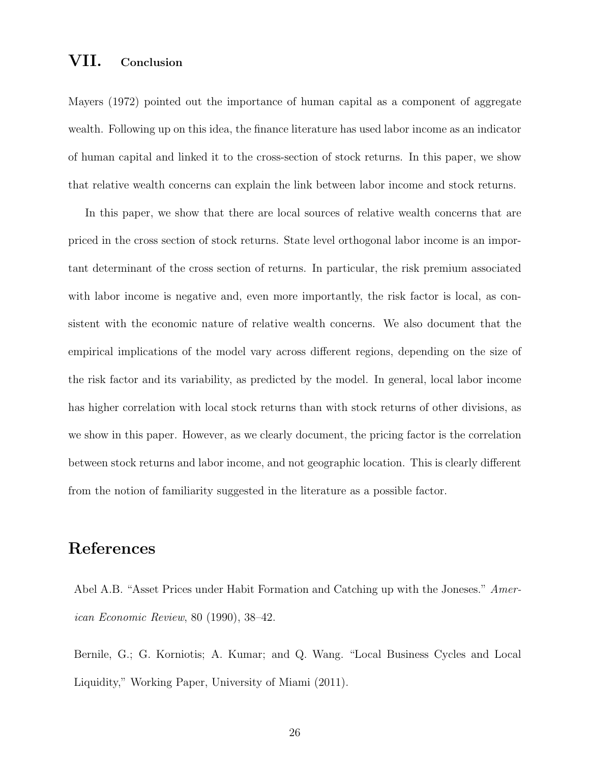# VII. Conclusion

Mayers (1972) pointed out the importance of human capital as a component of aggregate wealth. Following up on this idea, the finance literature has used labor income as an indicator of human capital and linked it to the cross-section of stock returns. In this paper, we show that relative wealth concerns can explain the link between labor income and stock returns.

In this paper, we show that there are local sources of relative wealth concerns that are priced in the cross section of stock returns. State level orthogonal labor income is an important determinant of the cross section of returns. In particular, the risk premium associated with labor income is negative and, even more importantly, the risk factor is local, as consistent with the economic nature of relative wealth concerns. We also document that the empirical implications of the model vary across different regions, depending on the size of the risk factor and its variability, as predicted by the model. In general, local labor income has higher correlation with local stock returns than with stock returns of other divisions, as we show in this paper. However, as we clearly document, the pricing factor is the correlation between stock returns and labor income, and not geographic location. This is clearly different from the notion of familiarity suggested in the literature as a possible factor.

# References

Abel A.B. "Asset Prices under Habit Formation and Catching up with the Joneses." American Economic Review, 80 (1990), 38–42.

Bernile, G.; G. Korniotis; A. Kumar; and Q. Wang. "Local Business Cycles and Local Liquidity," Working Paper, University of Miami (2011).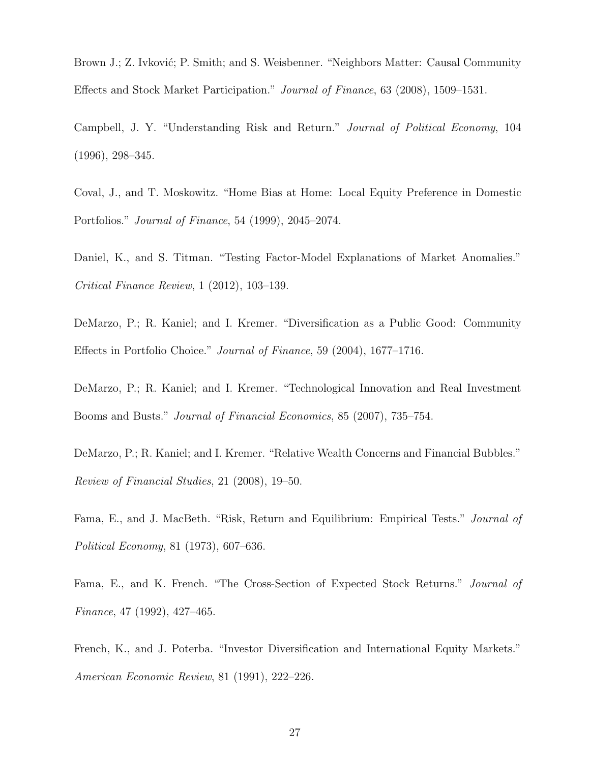Brown J.; Z. Ivković; P. Smith; and S. Weisbenner. "Neighbors Matter: Causal Community Effects and Stock Market Participation." Journal of Finance, 63 (2008), 1509–1531.

Campbell, J. Y. "Understanding Risk and Return." Journal of Political Economy, 104 (1996), 298–345.

Coval, J., and T. Moskowitz. "Home Bias at Home: Local Equity Preference in Domestic Portfolios." Journal of Finance, 54 (1999), 2045–2074.

Daniel, K., and S. Titman. "Testing Factor-Model Explanations of Market Anomalies." Critical Finance Review, 1 (2012), 103–139.

DeMarzo, P.; R. Kaniel; and I. Kremer. "Diversification as a Public Good: Community Effects in Portfolio Choice." Journal of Finance, 59 (2004), 1677–1716.

DeMarzo, P.; R. Kaniel; and I. Kremer. "Technological Innovation and Real Investment Booms and Busts." Journal of Financial Economics, 85 (2007), 735–754.

DeMarzo, P.; R. Kaniel; and I. Kremer. "Relative Wealth Concerns and Financial Bubbles." Review of Financial Studies, 21 (2008), 19–50.

Fama, E., and J. MacBeth. "Risk, Return and Equilibrium: Empirical Tests." Journal of Political Economy, 81 (1973), 607–636.

Fama, E., and K. French. "The Cross-Section of Expected Stock Returns." Journal of Finance, 47 (1992), 427–465.

French, K., and J. Poterba. "Investor Diversification and International Equity Markets." American Economic Review, 81 (1991), 222–226.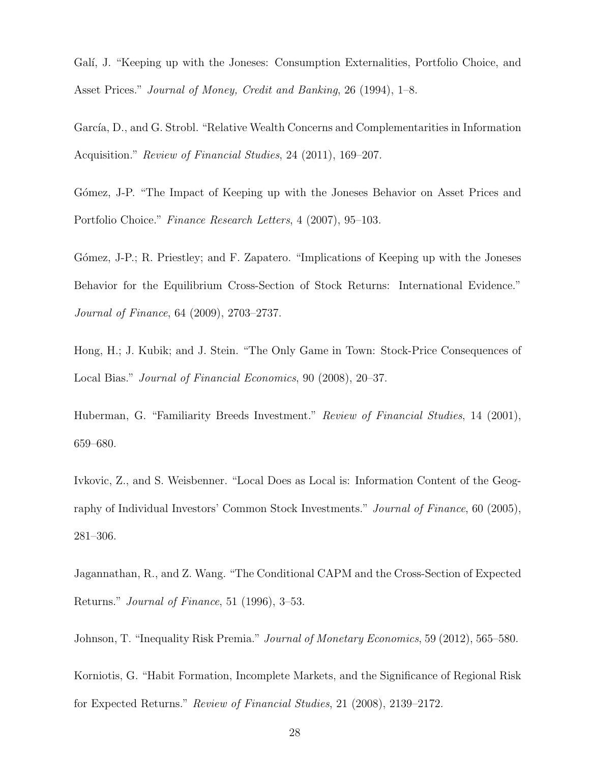Galí, J. "Keeping up with the Joneses: Consumption Externalities, Portfolio Choice, and Asset Prices." Journal of Money, Credit and Banking, 26 (1994), 1–8.

García, D., and G. Strobl. "Relative Wealth Concerns and Complementarities in Information Acquisition." Review of Financial Studies, 24 (2011), 169–207.

Gómez, J-P. "The Impact of Keeping up with the Joneses Behavior on Asset Prices and Portfolio Choice." Finance Research Letters, 4 (2007), 95–103.

Gómez, J-P.; R. Priestley; and F. Zapatero. "Implications of Keeping up with the Joneses Behavior for the Equilibrium Cross-Section of Stock Returns: International Evidence." Journal of Finance, 64 (2009), 2703–2737.

Hong, H.; J. Kubik; and J. Stein. "The Only Game in Town: Stock-Price Consequences of Local Bias." Journal of Financial Economics, 90 (2008), 20–37.

Huberman, G. "Familiarity Breeds Investment." Review of Financial Studies, 14 (2001), 659–680.

Ivkovic, Z., and S. Weisbenner. "Local Does as Local is: Information Content of the Geography of Individual Investors' Common Stock Investments." Journal of Finance, 60 (2005), 281–306.

Jagannathan, R., and Z. Wang. "The Conditional CAPM and the Cross-Section of Expected Returns." Journal of Finance, 51 (1996), 3–53.

Johnson, T. "Inequality Risk Premia." Journal of Monetary Economics, 59 (2012), 565–580.

Korniotis, G. "Habit Formation, Incomplete Markets, and the Significance of Regional Risk for Expected Returns." Review of Financial Studies, 21 (2008), 2139–2172.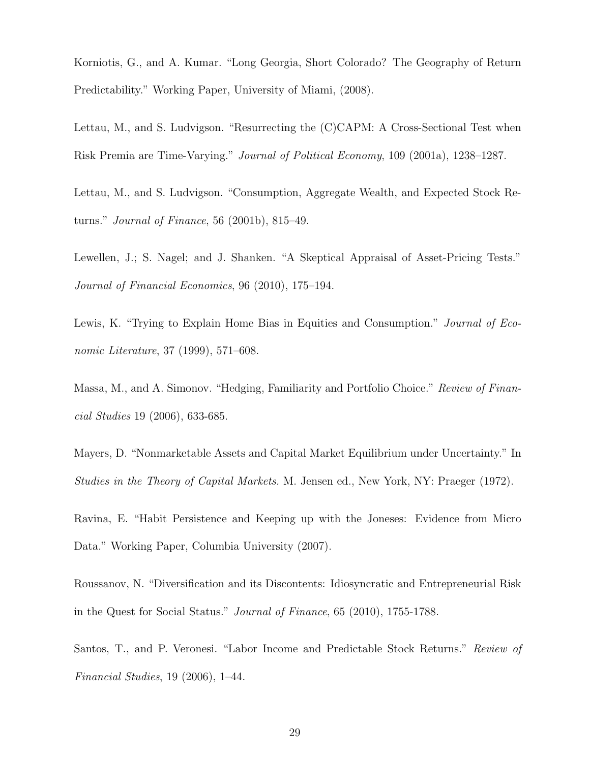Korniotis, G., and A. Kumar. "Long Georgia, Short Colorado? The Geography of Return Predictability." Working Paper, University of Miami, (2008).

Lettau, M., and S. Ludvigson. "Resurrecting the (C)CAPM: A Cross-Sectional Test when Risk Premia are Time-Varying." Journal of Political Economy, 109 (2001a), 1238–1287.

Lettau, M., and S. Ludvigson. "Consumption, Aggregate Wealth, and Expected Stock Returns." Journal of Finance, 56 (2001b), 815–49.

Lewellen, J.; S. Nagel; and J. Shanken. "A Skeptical Appraisal of Asset-Pricing Tests." Journal of Financial Economics, 96 (2010), 175–194.

Lewis, K. "Trying to Explain Home Bias in Equities and Consumption." Journal of Economic Literature, 37 (1999), 571–608.

Massa, M., and A. Simonov. "Hedging, Familiarity and Portfolio Choice." Review of Financial Studies 19 (2006), 633-685.

Mayers, D. "Nonmarketable Assets and Capital Market Equilibrium under Uncertainty." In Studies in the Theory of Capital Markets. M. Jensen ed., New York, NY: Praeger (1972).

Ravina, E. "Habit Persistence and Keeping up with the Joneses: Evidence from Micro Data." Working Paper, Columbia University (2007).

Roussanov, N. "Diversification and its Discontents: Idiosyncratic and Entrepreneurial Risk in the Quest for Social Status." Journal of Finance, 65 (2010), 1755-1788.

Santos, T., and P. Veronesi. "Labor Income and Predictable Stock Returns." Review of Financial Studies, 19 (2006), 1–44.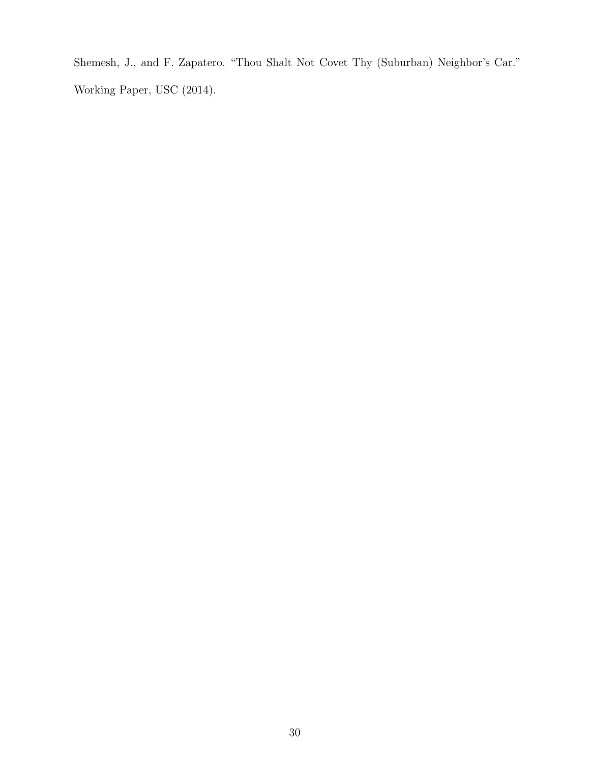Shemesh, J., and F. Zapatero. "Thou Shalt Not Covet Thy (Suburban) Neighbor's Car." Working Paper, USC (2014).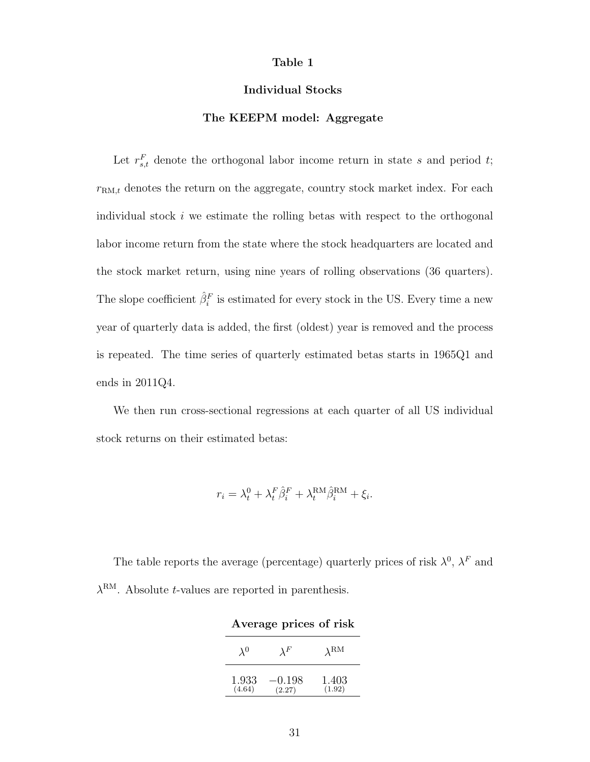### Table 1

### Individual Stocks

# The KEEPM model: Aggregate

Let  $r_{s,t}^F$  denote the orthogonal labor income return in state s and period t;  $r_{\text{RM},t}$  denotes the return on the aggregate, country stock market index. For each individual stock i we estimate the rolling betas with respect to the orthogonal labor income return from the state where the stock headquarters are located and the stock market return, using nine years of rolling observations (36 quarters). The slope coefficient  $\hat{\beta}_i^F$  is estimated for every stock in the US. Every time a new year of quarterly data is added, the first (oldest) year is removed and the process is repeated. The time series of quarterly estimated betas starts in 1965Q1 and ends in 2011Q4.

We then run cross-sectional regressions at each quarter of all US individual stock returns on their estimated betas:

$$
r_i = \lambda^0_t + \lambda^F_t \hat{\beta}^F_i + \lambda^{\rm RM}_t \hat{\beta}^{\rm RM}_i + \xi_i.
$$

The table reports the average (percentage) quarterly prices of risk  $\lambda^0$ ,  $\lambda^F$  and  $\lambda^{\rm RM}$ . Absolute *t*-values are reported in parenthesis.

| $\lambda^0$ | $\lambda F$ | $\lambda^{\rm RM}$ |
|-------------|-------------|--------------------|
| 1.933       | –0.198      | 1.403              |
| (4.64)      | (2.27)      | (1.92)             |

Average prices of risk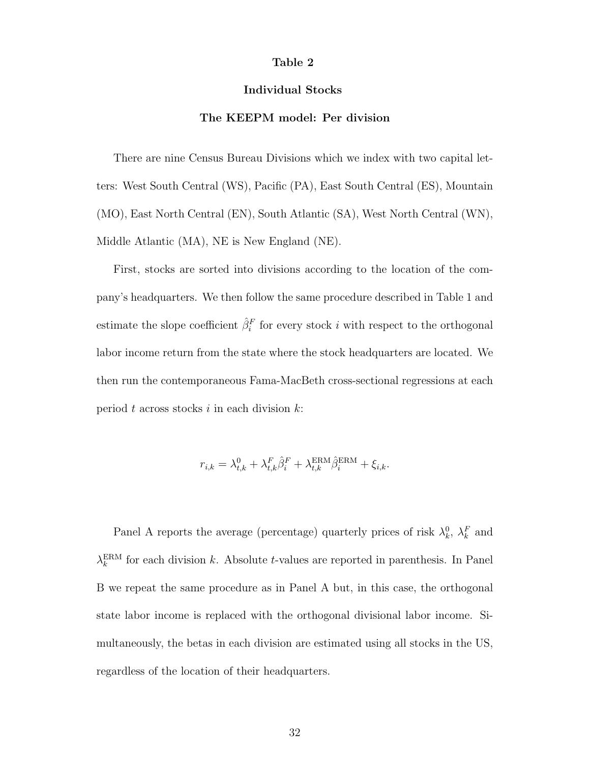### Table 2

### Individual Stocks

# The KEEPM model: Per division

There are nine Census Bureau Divisions which we index with two capital letters: West South Central (WS), Pacific (PA), East South Central (ES), Mountain (MO), East North Central (EN), South Atlantic (SA), West North Central (WN), Middle Atlantic (MA), NE is New England (NE).

First, stocks are sorted into divisions according to the location of the company's headquarters. We then follow the same procedure described in Table 1 and estimate the slope coefficient  $\hat{\beta}_i^F$  for every stock *i* with respect to the orthogonal labor income return from the state where the stock headquarters are located. We then run the contemporaneous Fama-MacBeth cross-sectional regressions at each period  $t$  across stocks  $i$  in each division  $k$ :

$$
r_{i,k} = \lambda_{t,k}^0 + \lambda_{t,k}^F \hat{\beta}_i^F + \lambda_{t,k}^{\text{ERM}} \hat{\beta}_i^{\text{ERM}} + \xi_{i,k}.
$$

Panel A reports the average (percentage) quarterly prices of risk  $\lambda_k^0$ ,  $\lambda_k^F$  and  $\lambda_k^{\text{ERM}}$  for each division k. Absolute t-values are reported in parenthesis. In Panel B we repeat the same procedure as in Panel A but, in this case, the orthogonal state labor income is replaced with the orthogonal divisional labor income. Simultaneously, the betas in each division are estimated using all stocks in the US, regardless of the location of their headquarters.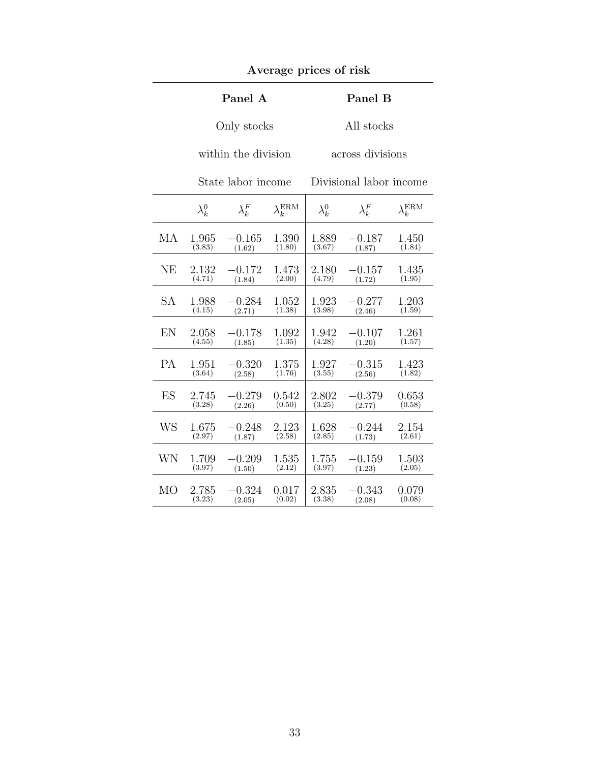|    |               |                     |                          | Average prices or risk |                         |                          |  |
|----|---------------|---------------------|--------------------------|------------------------|-------------------------|--------------------------|--|
|    |               | Panel A             |                          | Panel B                |                         |                          |  |
|    |               | Only stocks         |                          |                        | All stocks              |                          |  |
|    |               | within the division |                          |                        | across divisions        |                          |  |
|    |               | State labor income  |                          |                        | Divisional labor income |                          |  |
|    | $\lambda_k^0$ | $\lambda_k^F$       | $\lambda_k^{\text{ERM}}$ | $\lambda_k^0$          | $\lambda_k^F$           | $\lambda_k^{\text{ERM}}$ |  |
| МA | 1.965         | $-0.165$            | 1.390                    | 1.889                  | $-0.187$                | 1.450                    |  |
|    | (3.83)        | (1.62)              | (1.80)                   | (3.67)                 | (1.87)                  | (1.84)                   |  |
| NE | 2.132         | $-0.172$            | 1.473                    | 2.180                  | $-0.157$                | 1.435                    |  |
|    | (4.71)        | (1.84)              | (2.00)                   | (4.79)                 | (1.72)                  | (1.95)                   |  |
| SA | 1.988         | $-0.284$            | 1.052                    | 1.923                  | $-0.277$                | 1.203                    |  |
|    | (4.15)        | (2.71)              | (1.38)                   | (3.98)                 | (2.46)                  | (1.59)                   |  |
| EN | $2.058\,$     | $-0.178$            | 1.092                    | 1.942                  | $-0.107$                | 1.261                    |  |
|    | (4.55)        | (1.85)              | (1.35)                   | (4.28)                 | (1.20)                  | (1.57)                   |  |
| PA | 1.951         | $-0.320$            | 1.375                    | 1.927                  | $-0.315$                | 1.423                    |  |
|    | (3.64)        | (2.58)              | (1.76)                   | (3.55)                 | (2.56)                  | (1.82)                   |  |
| ES | 2.745         | $-0.279$            | 0.542                    | 2.802                  | $-0.379$                | 0.653                    |  |
|    | (3.28)        | (2.26)              | (0.50)                   | (3.25)                 | (2.77)                  | (0.58)                   |  |
| WS | 1.675         | $-0.248$            | 2.123                    | 1.628                  | $-0.244$                | 2.154                    |  |
|    | (2.97)        | (1.87)              | (2.58)                   | (2.85)                 | (1.73)                  | (2.61)                   |  |
| WN | 1.709         | $-0.209$            | 1.535                    | 1.755                  | $-0.159$                | 1.503                    |  |
|    | (3.97)        | (1.50)              | (2.12)                   | (3.97)                 | (1.23)                  | (2.05)                   |  |
| MO | 2.785         | $-0.324$            | 0.017                    | 2.835                  | $-0.343$                | 0.079                    |  |
|    | (3.23)        | (2.05)              | (0.02)                   | (3.38)                 | (2.08)                  | (0.08)                   |  |

# Average prices of risk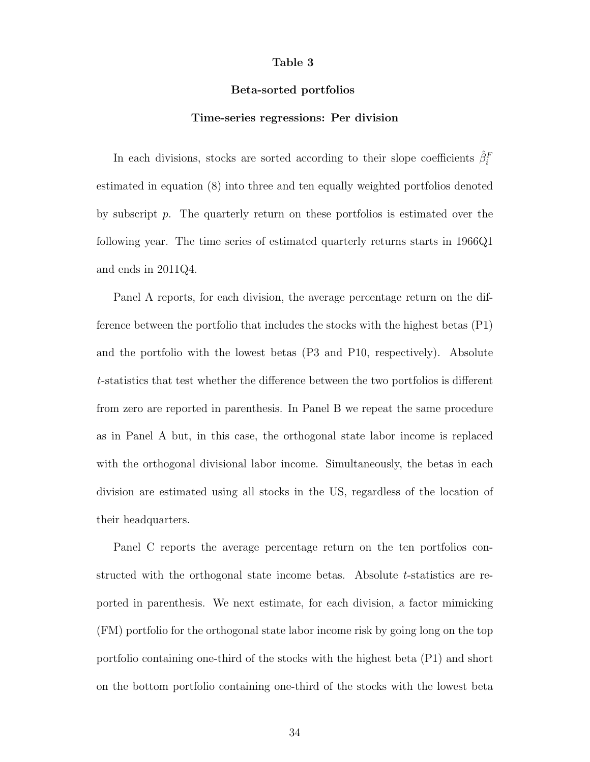#### Table 3

#### Beta-sorted portfolios

#### Time-series regressions: Per division

In each divisions, stocks are sorted according to their slope coefficients  $\hat{\beta}_i^F$ estimated in equation (8) into three and ten equally weighted portfolios denoted by subscript p. The quarterly return on these portfolios is estimated over the following year. The time series of estimated quarterly returns starts in 1966Q1 and ends in 2011Q4.

Panel A reports, for each division, the average percentage return on the difference between the portfolio that includes the stocks with the highest betas (P1) and the portfolio with the lowest betas (P3 and P10, respectively). Absolute t-statistics that test whether the difference between the two portfolios is different from zero are reported in parenthesis. In Panel B we repeat the same procedure as in Panel A but, in this case, the orthogonal state labor income is replaced with the orthogonal divisional labor income. Simultaneously, the betas in each division are estimated using all stocks in the US, regardless of the location of their headquarters.

Panel C reports the average percentage return on the ten portfolios constructed with the orthogonal state income betas. Absolute t-statistics are reported in parenthesis. We next estimate, for each division, a factor mimicking (FM) portfolio for the orthogonal state labor income risk by going long on the top portfolio containing one-third of the stocks with the highest beta (P1) and short on the bottom portfolio containing one-third of the stocks with the lowest beta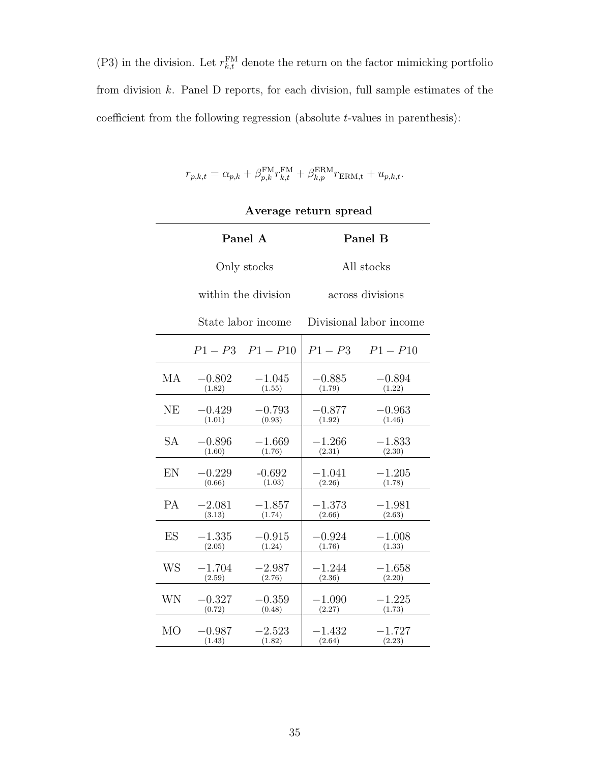(P3) in the division. Let  $r_{k,t}^{\text{FM}}$  denote the return on the factor mimicking portfolio from division  $k$ . Panel D reports, for each division, full sample estimates of the coefficient from the following regression (absolute  $t$ -values in parenthesis):

$$
r_{p,k,t} = \alpha_{p,k} + \beta_{p,k}^{\text{FM}} r_{k,t}^{\text{FM}} + \beta_{k,p}^{\text{ERM}} r_{\text{ERM,t}} + u_{p,k,t}.
$$

|                |           | Panel A             | Panel B  |                         |  |
|----------------|-----------|---------------------|----------|-------------------------|--|
|                |           | Only stocks         |          | All stocks              |  |
|                |           | within the division |          | across divisions        |  |
|                |           | State labor income  |          | Divisional labor income |  |
|                | $P1 - P3$ | $P1 - P10$          | $P1-P3$  | $P1 - P10$              |  |
| МA             | $-0.802$  | $-1.045$            | $-0.885$ | $-0.894$                |  |
|                | (1.82)    | (1.55)              | (1.79)   | (1.22)                  |  |
| NΕ             | $-0.429$  | $-0.793$            | $-0.877$ | $-0.963$                |  |
|                | (1.01)    | (0.93)              | (1.92)   | (1.46)                  |  |
| SA             | $-0.896$  | $-1.669$            | $-1.266$ | $-1.833$                |  |
|                | (1.60)    | (1.76)              | (2.31)   | (2.30)                  |  |
| EN             | $-0.229$  | $-0.692$            | $-1.041$ | $-1.205$                |  |
|                | (0.66)    | (1.03)              | (2.26)   | (1.78)                  |  |
| <b>PA</b>      | $-2.081$  | $-1.857$            | $-1.373$ | $-1.981$                |  |
|                | (3.13)    | (1.74)              | (2.66)   | (2.63)                  |  |
| ES             | $-1.335$  | $-0.915$            | $-0.924$ | $-1.008$                |  |
|                | (2.05)    | (1.24)              | (1.76)   | (1.33)                  |  |
| <b>WS</b>      | $-1.704$  | $-2.987$            | $-1.244$ | $-1.658$                |  |
|                | (2.59)    | (2.76)              | (2.36)   | (2.20)                  |  |
| WN             | $-0.327$  | $-0.359$            | $-1.090$ | $-1.225$                |  |
|                | (0.72)    | (0.48)              | (2.27)   | (1.73)                  |  |
| M <sub>O</sub> | $-0.987$  | $-2.523$            | $-1.432$ | $-1.727$                |  |
|                | (1.43)    | (1.82)              | (2.64)   | (2.23)                  |  |

Average return spread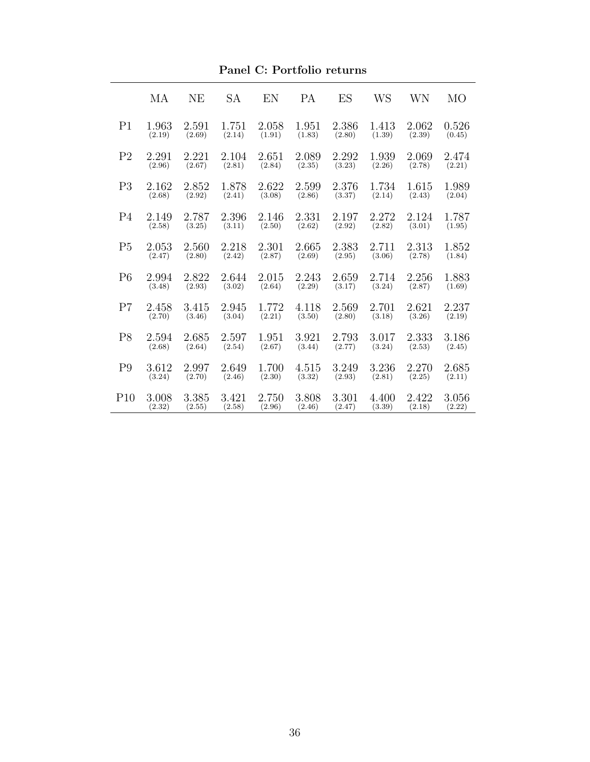|                 | MA     | NE     | SА     | EN     | PA     | ES     | WS     | WN     | MO     |
|-----------------|--------|--------|--------|--------|--------|--------|--------|--------|--------|
| P <sub>1</sub>  | 1.963  | 2.591  | 1.751  | 2.058  | 1.951  | 2.386  | 1.413  | 2.062  | 0.526  |
|                 | (2.19) | (2.69) | (2.14) | (1.91) | (1.83) | (2.80) | (1.39) | (2.39) | (0.45) |
| P <sub>2</sub>  | 2.291  | 2.221  | 2.104  | 2.651  | 2.089  | 2.292  | 1.939  | 2.069  | 2.474  |
|                 | (2.96) | (2.67) | (2.81) | (2.84) | (2.35) | (3.23) | (2.26) | (2.78) | (2.21) |
| P3              | 2.162  | 2.852  | 1.878  | 2.622  | 2.599  | 2.376  | 1.734  | 1.615  | 1.989  |
|                 | (2.68) | (2.92) | (2.41) | (3.08) | (2.86) | (3.37) | (2.14) | (2.43) | (2.04) |
| P <sub>4</sub>  | 2.149  | 2.787  | 2.396  | 2.146  | 2.331  | 2.197  | 2.272  | 2.124  | 1.787  |
|                 | (2.58) | (3.25) | (3.11) | (2.50) | (2.62) | (2.92) | (2.82) | (3.01) | (1.95) |
| P <sub>5</sub>  | 2.053  | 2.560  | 2.218  | 2.301  | 2.665  | 2.383  | 2.711  | 2.313  | 1.852  |
|                 | (2.47) | (2.80) | (2.42) | (2.87) | (2.69) | (2.95) | (3.06) | (2.78) | (1.84) |
| P <sub>6</sub>  | 2.994  | 2.822  | 2.644  | 2.015  | 2.243  | 2.659  | 2.714  | 2.256  | 1.883  |
|                 | (3.48) | (2.93) | (3.02) | (2.64) | (2.29) | (3.17) | (3.24) | (2.87) | (1.69) |
| P7              | 2.458  | 3.415  | 2.945  | 1.772  | 4.118  | 2.569  | 2.701  | 2.621  | 2.237  |
|                 | (2.70) | (3.46) | (3.04) | (2.21) | (3.50) | (2.80) | (3.18) | (3.26) | (2.19) |
| P <sub>8</sub>  | 2.594  | 2.685  | 2.597  | 1.951  | 3.921  | 2.793  | 3.017  | 2.333  | 3.186  |
|                 | (2.68) | (2.64) | (2.54) | (2.67) | (3.44) | (2.77) | (3.24) | (2.53) | (2.45) |
| P <sub>9</sub>  | 3.612  | 2.997  | 2.649  | 1.700  | 4.515  | 3.249  | 3.236  | 2.270  | 2.685  |
|                 | (3.24) | (2.70) | (2.46) | (2.30) | (3.32) | (2.93) | (2.81) | (2.25) | (2.11) |
| P <sub>10</sub> | 3.008  | 3.385  | 3.421  | 2.750  | 3.808  | 3.301  | 4.400  | 2.422  | 3.056  |
|                 | (2.32) | (2.55) | (2.58) | (2.96) | (2.46) | (2.47) | (3.39) | (2.18) | (2.22) |

Panel C: Portfolio returns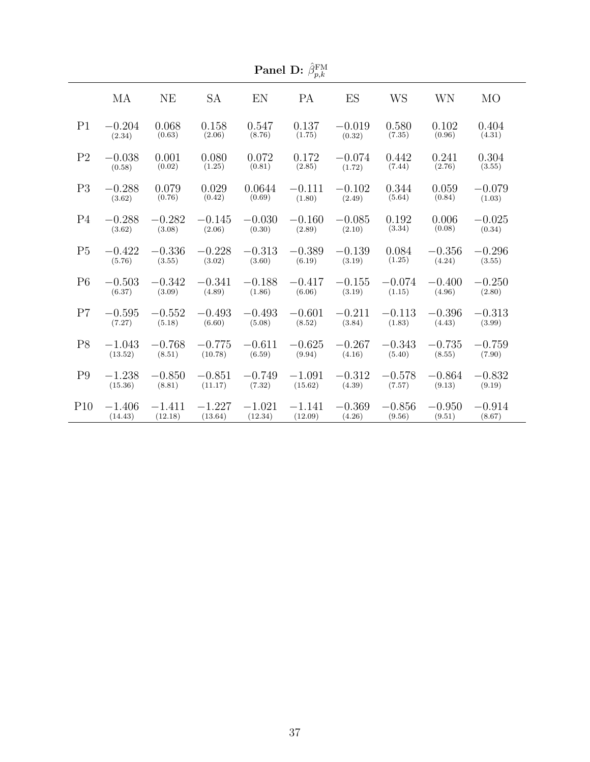|                | r anci D. $\varphi_{p,k}$ |           |           |          |           |          |           |           |           |  |
|----------------|---------------------------|-----------|-----------|----------|-----------|----------|-----------|-----------|-----------|--|
|                | MA                        | <b>NE</b> | <b>SA</b> | EN       | <b>PA</b> | ES       | <b>WS</b> | <b>WN</b> | <b>MO</b> |  |
| P1             | $-0.204$                  | 0.068     | 0.158     | 0.547    | 0.137     | $-0.019$ | 0.580     | 0.102     | 0.404     |  |
|                | (2.34)                    | (0.63)    | (2.06)    | (8.76)   | (1.75)    | (0.32)   | (7.35)    | (0.96)    | (4.31)    |  |
| P <sub>2</sub> | $-0.038$                  | 0.001     | 0.080     | 0.072    | 0.172     | $-0.074$ | 0.442     | 0.241     | 0.304     |  |
|                | (0.58)                    | (0.02)    | (1.25)    | (0.81)   | (2.85)    | (1.72)   | (7.44)    | (2.76)    | (3.55)    |  |
| P <sub>3</sub> | $-0.288$                  | 0.079     | 0.029     | 0.0644   | $-0.111$  | $-0.102$ | 0.344     | 0.059     | $-0.079$  |  |
|                | (3.62)                    | (0.76)    | (0.42)    | (0.69)   | (1.80)    | (2.49)   | (5.64)    | (0.84)    | (1.03)    |  |
| P4             | $-0.288$                  | $-0.282$  | $-0.145$  | $-0.030$ | $-0.160$  | $-0.085$ | 0.192     | 0.006     | $-0.025$  |  |
|                | (3.62)                    | (3.08)    | (2.06)    | (0.30)   | (2.89)    | (2.10)   | (3.34)    | (0.08)    | (0.34)    |  |
| P <sub>5</sub> | $-0.422$                  | $-0.336$  | $-0.228$  | $-0.313$ | $-0.389$  | $-0.139$ | 0.084     | $-0.356$  | $-0.296$  |  |
|                | (5.76)                    | (3.55)    | (3.02)    | (3.60)   | (6.19)    | (3.19)   | (1.25)    | (4.24)    | (3.55)    |  |
| P <sub>6</sub> | $-0.503$                  | $-0.342$  | $-0.341$  | $-0.188$ | $-0.417$  | $-0.155$ | $-0.074$  | $-0.400$  | $-0.250$  |  |
|                | (6.37)                    | (3.09)    | (4.89)    | (1.86)   | (6.06)    | (3.19)   | (1.15)    | (4.96)    | (2.80)    |  |
| P7             | $-0.595$                  | $-0.552$  | $-0.493$  | $-0.493$ | $-0.601$  | $-0.211$ | $-0.113$  | $-0.396$  | $-0.313$  |  |
|                | (7.27)                    | (5.18)    | (6.60)    | (5.08)   | (8.52)    | (3.84)   | (1.83)    | (4.43)    | (3.99)    |  |
| P <sub>8</sub> | $-1.043$                  | $-0.768$  | $-0.775$  | $-0.611$ | $-0.625$  | $-0.267$ | $-0.343$  | $-0.735$  | $-0.759$  |  |
|                | (13.52)                   | (8.51)    | (10.78)   | (6.59)   | (9.94)    | (4.16)   | (5.40)    | (8.55)    | (7.90)    |  |
| P <sub>9</sub> | $-1.238$                  | $-0.850$  | $-0.851$  | $-0.749$ | $-1.091$  | $-0.312$ | $-0.578$  | $-0.864$  | $-0.832$  |  |
|                | (15.36)                   | (8.81)    | (11.17)   | (7.32)   | (15.62)   | (4.39)   | (7.57)    | (9.13)    | (9.19)    |  |
| P10            | $-1.406$                  | $-1.411$  | $-1.227$  | $-1.021$ | $-1.141$  | $-0.369$ | $-0.856$  | $-0.950$  | $-0.914$  |  |
|                | (14.43)                   | (12.18)   | (13.64)   | (12.34)  | (12.09)   | (4.26)   | (9.56)    | (9.51)    | (8.67)    |  |

Panel D:  $\hat{\beta}_{p,k}^{\text{FM}}$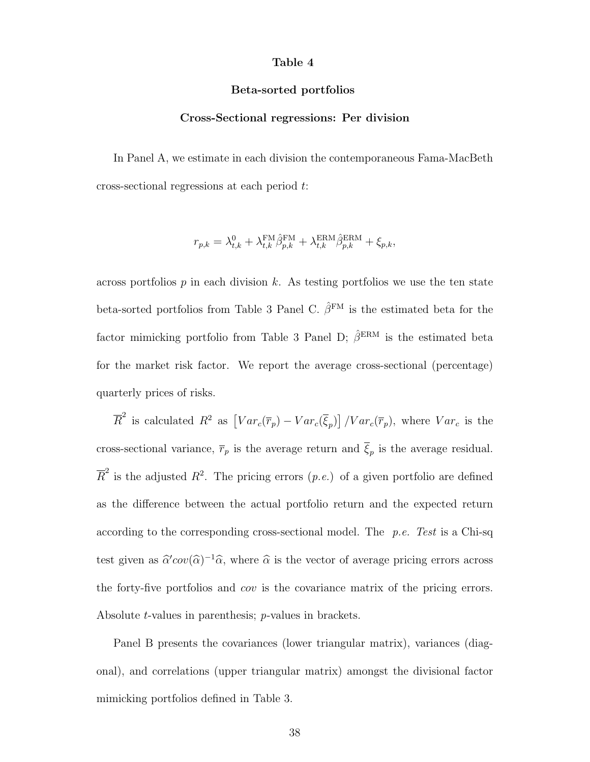### Table 4

#### Beta-sorted portfolios

#### Cross-Sectional regressions: Per division

In Panel A, we estimate in each division the contemporaneous Fama-MacBeth cross-sectional regressions at each period t:

$$
r_{p,k} = \lambda_{t,k}^0 + \lambda_{t,k}^{\text{FM}} \hat{\beta}_{p,k}^{\text{FM}} + \lambda_{t,k}^{\text{ERM}} \hat{\beta}_{p,k}^{\text{ERM}} + \xi_{p,k},
$$

across portfolios  $p$  in each division  $k$ . As testing portfolios we use the ten state beta-sorted portfolios from Table 3 Panel C.  $\hat{\beta}^{FM}$  is the estimated beta for the factor mimicking portfolio from Table 3 Panel D;  $\hat{\beta}^{ERM}$  is the estimated beta for the market risk factor. We report the average cross-sectional (percentage) quarterly prices of risks.

 $\overline{R}^2$  is calculated  $R^2$  as  $\left[Var_c(\overline{r}_p) - Var_c(\overline{\xi}_p)\right] / Var_c(\overline{r}_p)$ , where  $Var_c$  is the cross-sectional variance,  $\bar{r}_p$  is the average return and  $\xi_p$  is the average residual.  $\overline{R}^2$  is the adjusted  $R^2$ . The pricing errors  $(p.e.)$  of a given portfolio are defined as the difference between the actual portfolio return and the expected return according to the corresponding cross-sectional model. The  $p.e.$  Test is a Chi-sq test given as  $\hat{\alpha}' cov(\hat{\alpha})^{-1}\hat{\alpha}$ , where  $\hat{\alpha}$  is the vector of average pricing errors across the forty-five portfolios and cov is the covariance matrix of the pricing errors. Absolute t-values in parenthesis; p-values in brackets.

Panel B presents the covariances (lower triangular matrix), variances (diagonal), and correlations (upper triangular matrix) amongst the divisional factor mimicking portfolios defined in Table 3.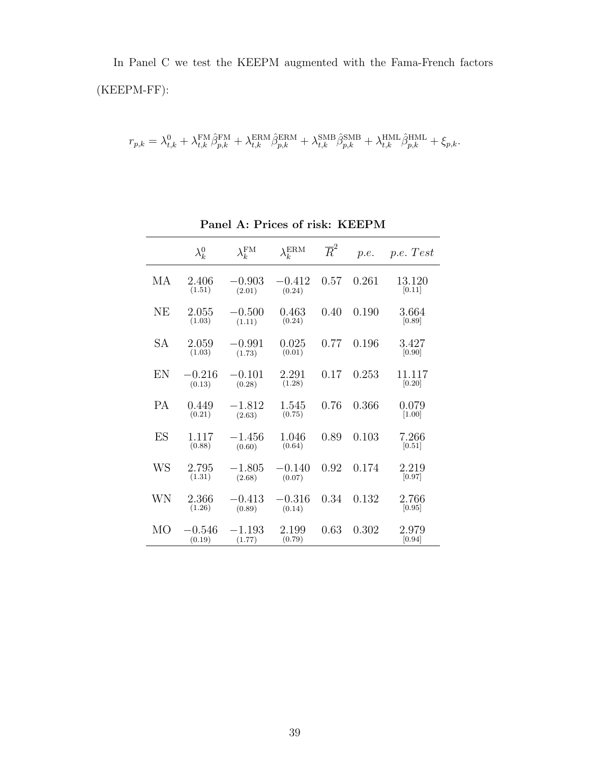In Panel C we test the KEEPM augmented with the Fama-French factors (KEEPM-FF):

$$
r_{p,k} = \lambda_{t,k}^0 + \lambda_{t,k}^\text{FM} \hat{\beta}_{p,k}^\text{FM} + \lambda_{t,k}^\text{ERM} \hat{\beta}_{p,k}^\text{ERM} + \lambda_{t,k}^\text{SMB} \hat{\beta}_{p,k}^\text{SMB} + \lambda_{t,k}^\text{HML} \hat{\beta}_{p,k}^\text{HML} + \xi_{p,k}.
$$

 $\lambda_k^0$  $\lambda_k^{\rm FM} \qquad \lambda$  $\frac{ERM}{k}$   $\overline{R}$  $\overline{R}^2$  $p.e.$  p.e. Test MA 2.406 (1.51) −0.903 (2.01) −0.412 (0.24)  $0.57 \quad 0.261 \qquad 13.120$ NE 2.055<br>(1.03)  $-0.500$ (1.11)  $0.463$ <br>(0.24) 0.40 0.190 3.664 [0.89] SA 2.059 (1.03) −0.991 (1.73) 0.025 (0.01) 0.77 0.196 3.427  $[0.90]$  $EN$  −0.216 (0.13) −0.101 (0.28) 2.291 (1.28) 0.17 0.253 11.117 [0.20] PA 0.449 (0.21) −1.812 (2.63) 1.545 (0.75) 0.76 0.366 0.079 [1.00] ES 1.117 (0.88) −1.456 (0.60) 1.046 (0.64) 0.89 0.103 7.266 [0.51] WS 2.795 (1.31) −1.805 (2.68) −0.140 (0.07) 0.92 0.174 2.219 [0.97] WN 2.366 (1.26) −0.413 (0.89) −0.316 (0.14) 0.34 0.132 2.766 [0.95]  $MO$  -0.546 (0.19) −1.193 (1.77) 2.199 (0.79) 0.63 0.302 2.979 [0.94]

Panel A: Prices of risk: KEEPM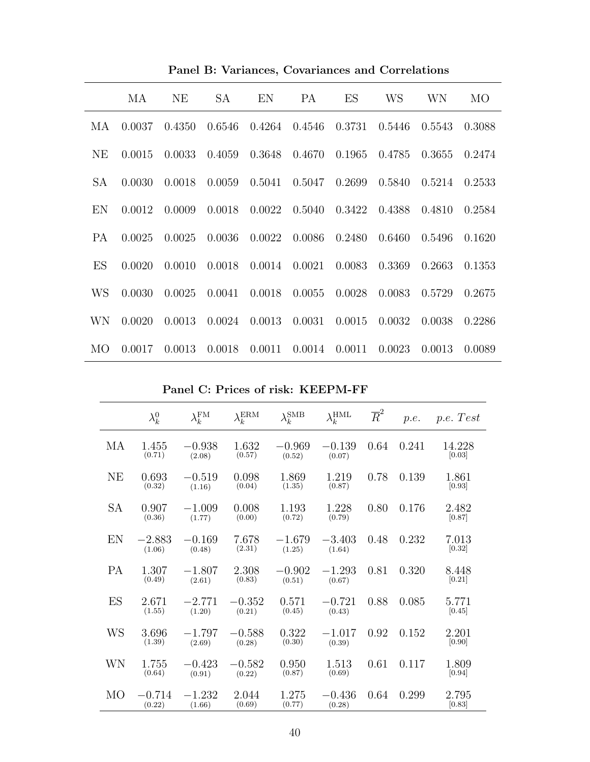|  |  | Panel B: Variances, Covariances and Correlations |  |  |
|--|--|--------------------------------------------------|--|--|
|--|--|--------------------------------------------------|--|--|

|           | МA        | NE              | <b>SA</b> | EN     | PA                                  | ES                    | WS            | <b>WN</b>     | MO     |
|-----------|-----------|-----------------|-----------|--------|-------------------------------------|-----------------------|---------------|---------------|--------|
| MA        | 0.0037    | 0.4350          | 0.6546    | 0.4264 | 0.4546                              | 0.3731                | 0.5446 0.5543 |               | 0.3088 |
| NE.       |           | $0.0015$ 0.0033 | 0.4059    |        | 0.3648 0.4670 0.1965 0.4785         |                       |               | 0.3655        | 0.2474 |
| SA        | 0.0030    | 0.0018          | 0.0059    |        | $0.5041$ $0.5047$ $0.2699$          |                       | 0.5840        | 0.5214        | 0.2533 |
| EN        | 0.0012    | 0.0009          | 0.0018    | 0.0022 |                                     | $0.5040 \quad 0.3422$ | 0.4388        | 0.4810        | 0.2584 |
|           | PA 0.0025 | 0.0025          | 0.0036    | 0.0022 |                                     | $0.0086$ $0.2480$     |               | 0.6460 0.5496 | 0.1620 |
| ES        | 0.0020    | 0.0010          | 0.0018    | 0.0014 | 0.0021 0.0083                       |                       | 0.3369 0.2663 |               | 0.1353 |
| <b>WS</b> | 0.0030    | 0.0025          | 0.0041    |        | $0.0018$ $0.0055$ $0.0028$          |                       | 0.0083        | 0.5729        | 0.2675 |
| WN        | 0.0020    | 0.0013          | 0.0024    |        | $0.0013$ $0.0031$ $0.0015$ $0.0032$ |                       |               | 0.0038        | 0.2286 |
| MO        | 0.0017    | 0.0013          | 0.0018    | 0.0011 | 0.0014                              | 0.0011                | 0.0023        | 0.0013        | 0.0089 |

Panel C: Prices of risk: KEEPM-FF

|                | $\lambda_k^0$      | $\lambda_k^{\text{FM}}$ | $\lambda_k^{\text{ERM}}$ | $\lambda_k^{\rm SMB}$ | $\lambda_k^{\text{HML}}$ | $\overline{R}^2$ | p.e.  | p.e. Test        |
|----------------|--------------------|-------------------------|--------------------------|-----------------------|--------------------------|------------------|-------|------------------|
| MA             | 1.455<br>(0.71)    | $-0.938$<br>(2.08)      | 1.632<br>(0.57)          | $-0.969$<br>(0.52)    | $-0.139$<br>(0.07)       | 0.64             | 0.241 | 14.228<br>[0.03] |
| NE             | 0.693<br>(0.32)    | $-0.519$<br>(1.16)      | 0.098<br>(0.04)          | 1.869<br>(1.35)       | 1.219<br>(0.87)          | 0.78             | 0.139 | 1.861<br>[0.93]  |
| <b>SA</b>      | 0.907<br>(0.36)    | $-1.009$<br>(1.77)      | 0.008<br>(0.00)          | 1.193<br>(0.72)       | 1.228<br>(0.79)          | 0.80             | 0.176 | 2.482<br>[0.87]  |
| EN             | $-2.883$<br>(1.06) | $-0.169$<br>(0.48)      | 7.678<br>(2.31)          | $-1.679$<br>(1.25)    | $-3.403$<br>(1.64)       | 0.48             | 0.232 | 7.013<br>[0.32]  |
| <b>PA</b>      | 1.307<br>(0.49)    | $-1.807$<br>(2.61)      | 2.308<br>(0.83)          | $-0.902$<br>(0.51)    | $-1.293$<br>(0.67)       | 0.81             | 0.320 | 8.448<br>[0.21]  |
| ES             | 2.671<br>(1.55)    | $-2.771$<br>(1.20)      | $-0.352$<br>(0.21)       | 0.571<br>(0.45)       | $-0.721$<br>(0.43)       | 0.88             | 0.085 | 5.771<br>[0.45]  |
| WS             | 3.696<br>(1.39)    | $-1.797$<br>(2.69)      | $-0.588$<br>(0.28)       | 0.322<br>(0.30)       | $-1.017$<br>(0.39)       | 0.92             | 0.152 | 2.201<br>[0.90]  |
| WN             | 1.755<br>(0.64)    | $-0.423$<br>(0.91)      | $-0.582$<br>(0.22)       | 0.950<br>(0.87)       | 1.513<br>(0.69)          | 0.61             | 0.117 | 1.809<br>[0.94]  |
| M <sub>O</sub> | $-0.714$<br>(0.22) | $-1.232$<br>(1.66)      | 2.044<br>(0.69)          | 1.275<br>(0.77)       | $-0.436$<br>(0.28)       | 0.64             | 0.299 | 2.795<br>[0.83]  |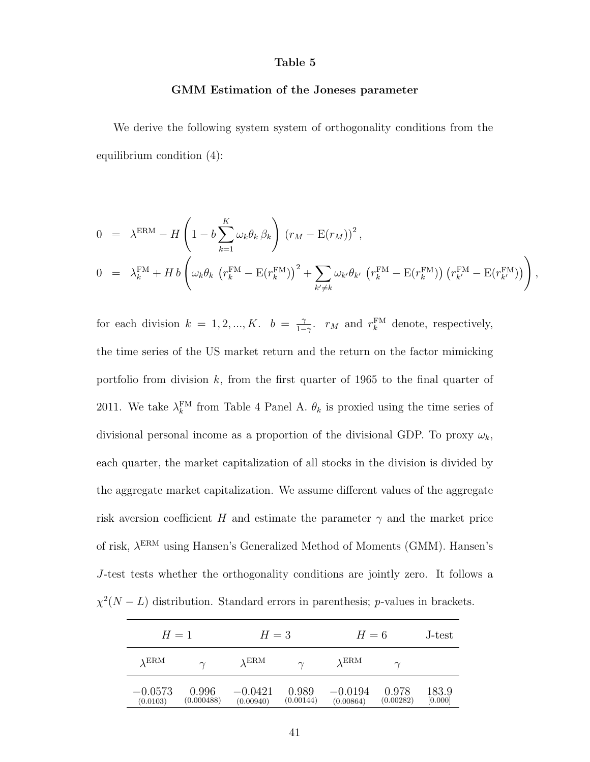### Table 5

### GMM Estimation of the Joneses parameter

We derive the following system system of orthogonality conditions from the equilibrium condition (4):

$$
0 = \lambda^{\text{ERM}} - H \left( 1 - b \sum_{k=1}^{K} \omega_k \theta_k \beta_k \right) (r_M - E(r_M))^2,
$$
  
\n
$$
0 = \lambda^{\text{FM}}_k + H b \left( \omega_k \theta_k \left( r_k^{\text{FM}} - E(r_k^{\text{FM}}) \right)^2 + \sum_{k' \neq k} \omega_{k'} \theta_{k'} \left( r_k^{\text{FM}} - E(r_k^{\text{FM}}) \right) \left( r_{k'}^{\text{FM}} - E(r_{k'}^{\text{FM}}) \right) \right),
$$

for each division  $k = 1, 2, ..., K$ .  $b = \frac{1}{1}$  $\frac{\gamma}{1-\gamma}$ .  $r_M$  and  $r_k^{\text{FM}}$  denote, respectively, the time series of the US market return and the return on the factor mimicking portfolio from division  $k$ , from the first quarter of 1965 to the final quarter of 2011. We take  $\lambda_k^{\text{FM}}$  from Table 4 Panel A.  $\theta_k$  is proxied using the time series of divisional personal income as a proportion of the divisional GDP. To proxy  $\omega_k$ , each quarter, the market capitalization of all stocks in the division is divided by the aggregate market capitalization. We assume different values of the aggregate risk aversion coefficient H and estimate the parameter  $\gamma$  and the market price of risk,  $\lambda^{\text{ERM}}$  using Hansen's Generalized Method of Moments (GMM). Hansen's J-test tests whether the orthogonality conditions are jointly zero. It follows a  $\chi^2(N-L)$  distribution. Standard errors in parenthesis; *p*-values in brackets.

| $H=1$                 |                     |                        | $H=3$              |                        | $H=6$              |                  |
|-----------------------|---------------------|------------------------|--------------------|------------------------|--------------------|------------------|
| λERM                  | $\sim$              | $\lambda^{\rm ERM}$    | $\sim$             | $\lambda^{\rm ERM}$    | $\sim$             |                  |
| $-0.0573$<br>(0.0103) | 0.996<br>(0.000488) | $-0.0421$<br>(0.00940) | 0.989<br>(0.00144) | $-0.0194$<br>(0.00864) | 0.978<br>(0.00282) | 183.9<br>[0.000] |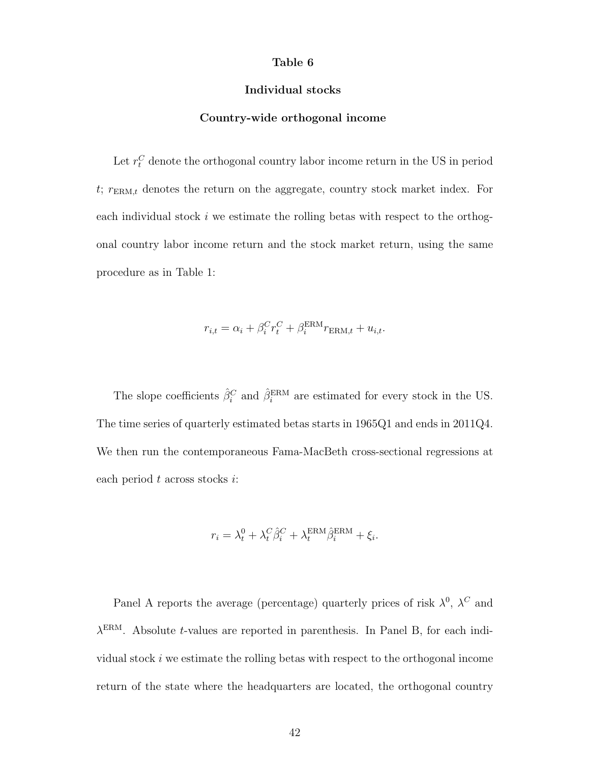### Table 6

# Individual stocks

#### Country-wide orthogonal income

Let  $r_t^C$  denote the orthogonal country labor income return in the US in period t;  $r_{\text{ERM},t}$  denotes the return on the aggregate, country stock market index. For each individual stock  $i$  we estimate the rolling betas with respect to the orthogonal country labor income return and the stock market return, using the same procedure as in Table 1:

$$
r_{i,t} = \alpha_i + \beta_i^C r_t^C + \beta_i^{\text{ERM}} r_{\text{ERM},t} + u_{i,t}.
$$

The slope coefficients  $\hat{\beta}_i^C$  and  $\hat{\beta}_i^{ERM}$  are estimated for every stock in the US. The time series of quarterly estimated betas starts in 1965Q1 and ends in 2011Q4. We then run the contemporaneous Fama-MacBeth cross-sectional regressions at each period  $t$  across stocks  $i$ :

$$
r_i = \lambda^0_t + \lambda^C_t \hat \beta^C_i + \lambda^{\text{ERM}}_t \hat \beta^{\text{ERM}}_i + \xi_i.
$$

Panel A reports the average (percentage) quarterly prices of risk  $\lambda^0$ ,  $\lambda^C$  and  $\lambda^{\text{ERM}}$ . Absolute *t*-values are reported in parenthesis. In Panel B, for each individual stock  $i$  we estimate the rolling betas with respect to the orthogonal income return of the state where the headquarters are located, the orthogonal country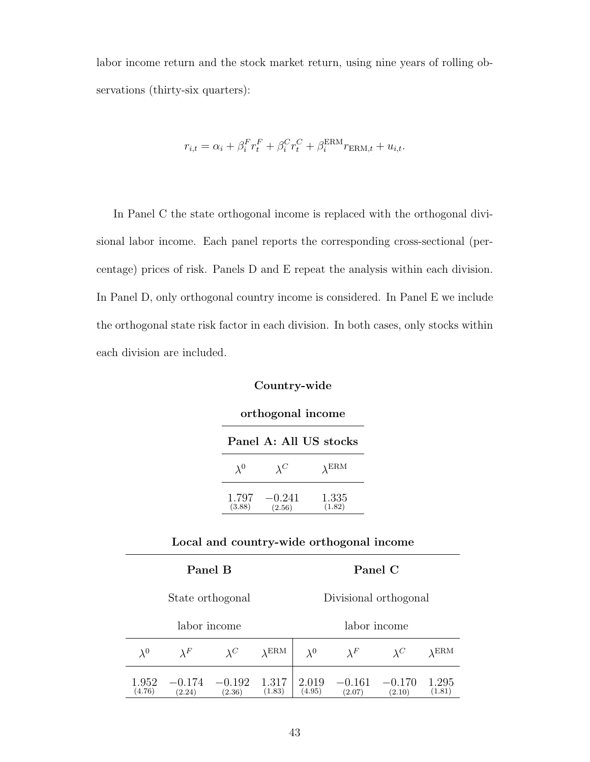labor income return and the stock market return, using nine years of rolling observations (thirty-six quarters):

$$
r_{i,t} = \alpha_i + \beta_i^F r_t^F + \beta_i^C r_t^C + \beta_i^{\text{ERM}} r_{\text{ERM},t} + u_{i,t}.
$$

In Panel C the state orthogonal income is replaced with the orthogonal divisional labor income. Each panel reports the corresponding cross-sectional (percentage) prices of risk. Panels D and E repeat the analysis within each division. In Panel D, only orthogonal country income is considered. In Panel E we include the orthogonal state risk factor in each division. In both cases, only stocks within each division are included.

# Country-wide orthogonal income

|                 |                    | Panel A: All US stocks |
|-----------------|--------------------|------------------------|
| $\lambda^{0}$   | $\lambda^C$        | $\lambda$ ERM          |
| 1.797<br>(3.88) | $-0.241$<br>(2.56) | 1.335<br>(1.82)        |

# Local and country-wide orthogonal income

|                 | Panel B            |                    |                 | Panel C         |                    |                       |                 |
|-----------------|--------------------|--------------------|-----------------|-----------------|--------------------|-----------------------|-----------------|
|                 | State orthogonal   |                    |                 |                 |                    | Divisional orthogonal |                 |
|                 | labor income       |                    |                 | labor income    |                    |                       |                 |
| $\lambda^0$     | $\lambda^F$        | $\lambda^C$        | $\lambda$ ERM   | $\lambda^0$     | $\lambda^F$        | $\lambda^C$           | $\lambda$ ERM   |
| 1.952<br>(4.76) | $-0.174$<br>(2.24) | $-0.192$<br>(2.36) | 1.317<br>(1.83) | 2.019<br>(4.95) | $-0.161$<br>(2.07) | $-0.170$<br>(2.10)    | 1.295<br>(1.81) |